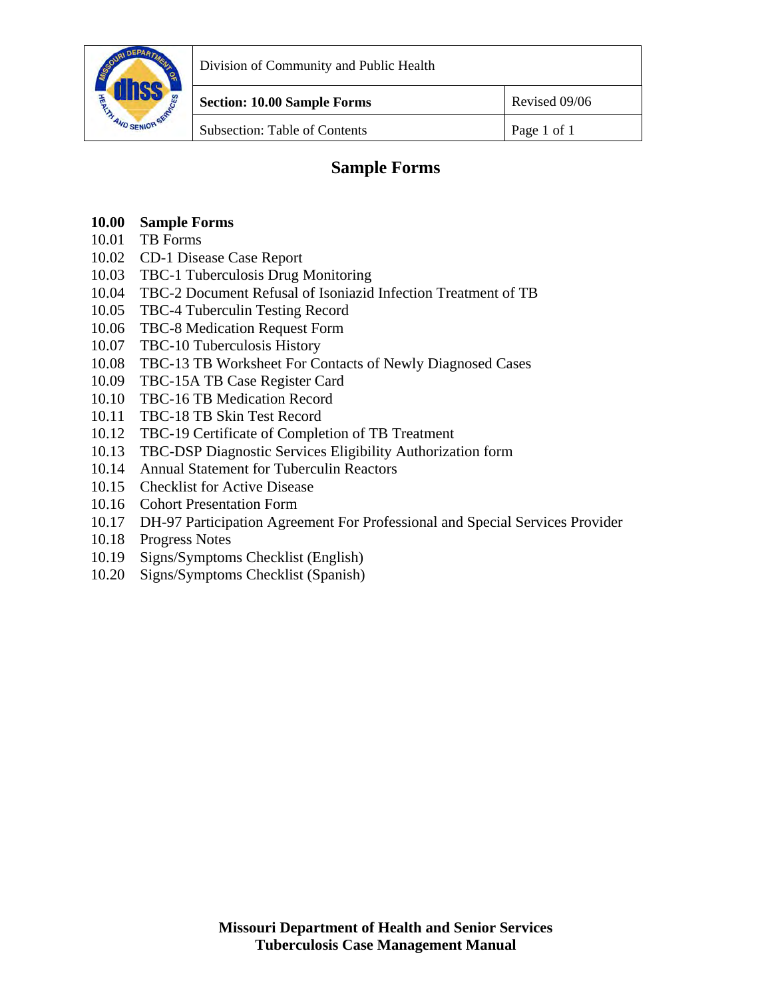

Division of Community and Public Health

Subsection: Table of Contents Page 1 of 1

## **Sample Forms**

### **10.00 Sample Forms**

- [10.01 TB Forms](#page-1-0)
- [10.02 CD-1 Disease Case Report](#page-3-0)
- [10.03 TBC-1 Tuberculosis Drug Monitoring](#page-5-0)
- [10.04 TBC-2 Document Refusal of Isoniazid Infection Treatment of TB](#page-6-0)
- [10.05 TBC-4 Tuberculin Testing Record](http://health.mo.gov/living/healthcondiseases/communicable/tuberculosis/tbmanual/pdf/TBC-4.pdf)
- [10.06 TBC-8 Medication Request Form](#page-8-0)
- [10.07 TBC-10 Tuberculosis History](#page-9-0)
- [10.08 TBC-13 TB Worksheet For Contacts of Newly Diagnosed Cases](#page-10-0)
- [10.09 TBC-15A TB Case Register Card](#page-12-0)
- [10.10 TBC-16 TB Medication Record](#page-14-0)
- [10.11 TBC-18 TB Skin Test Record](#page-15-0)
- [10.12 TBC-19 Certificate of Completion of TB Treatment](#page-16-0)
- [10.13 TBC-DSP Diagnostic Services Eligibility Authorization form](#page-17-0)
- [10.14 Annual Statement for Tuberculin Reactors](#page-18-0)
- [10.15 Checklist for Active Disease](#page-19-0)
- [10.16 Cohort Presentation Form](http://health.mo.gov/living/healthcondiseases/communicable/tuberculosis/tbmanual/pdf/Cohort.pdf)
- [10.17 DH-97 Participation Agreement For Professional and Special Services Provider](#page-20-0)
- [10.18 Progress Notes](#page-21-0)
- [10.19 Signs/Symptoms Checklist \(English\)](#page-23-0)
- [10.20 Signs/Symptoms Checklist \(Spanish\)](#page-24-0)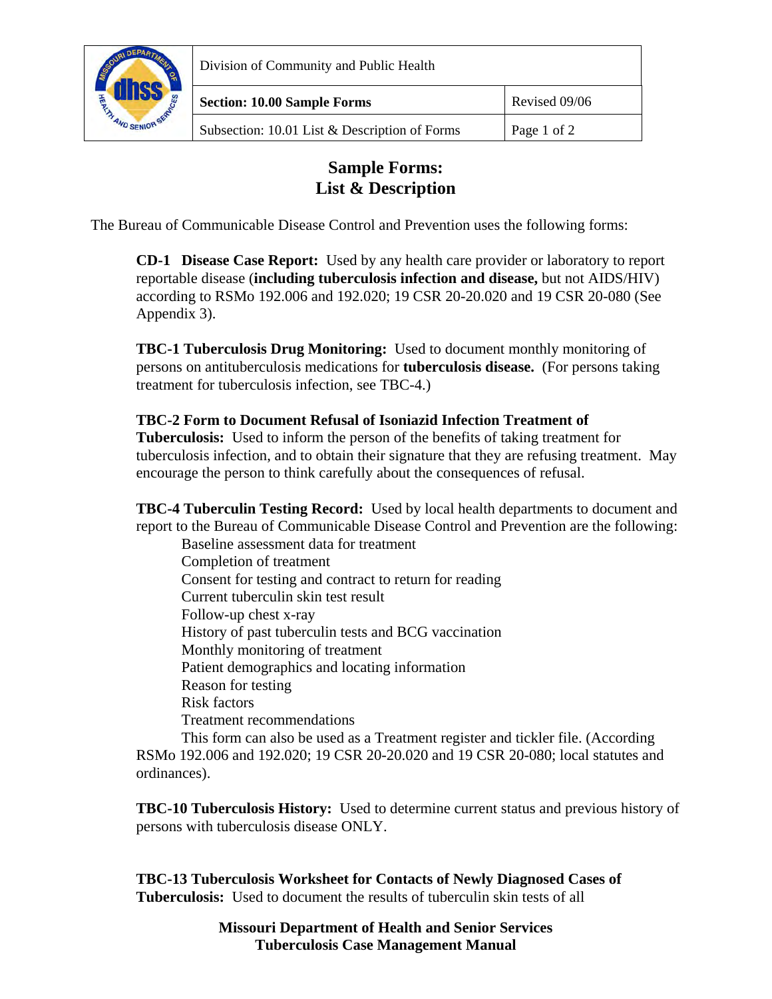<span id="page-1-0"></span>

Division of Community and Public Health

Subsection: 10.01 List & Description of Forms Page 1 of 2

## **Sample Forms: List & Description**

The Bureau of Communicable Disease Control and Prevention uses the following forms:

 **CD-1 Disease Case Report:** Used by any health care provider or laboratory to report reportable disease (**including tuberculosis infection and disease,** but not AIDS/HIV) according to RSMo 192.006 and 192.020; 19 CSR 20-20.020 and 19 CSR 20-080 (See Appendix 3).

**TBC-1 Tuberculosis Drug Monitoring:** Used to document monthly monitoring of persons on antituberculosis medications for **tuberculosis disease.** (For persons taking treatment for tuberculosis infection, see TBC-4.)

## **TBC-2 Form to Document Refusal of Isoniazid Infection Treatment of**

**Tuberculosis:** Used to inform the person of the benefits of taking treatment for tuberculosis infection, and to obtain their signature that they are refusing treatment. May encourage the person to think carefully about the consequences of refusal.

**TBC-4 Tuberculin Testing Record:** Used by local health departments to document and report to the Bureau of Communicable Disease Control and Prevention are the following:

 Baseline assessment data for treatment Completion of treatment Consent for testing and contract to return for reading Current tuberculin skin test result Follow-up chest x-ray History of past tuberculin tests and BCG vaccination Monthly monitoring of treatment Patient demographics and locating information Reason for testing Risk factors Treatment recommendations

 This form can also be used as a Treatment register and tickler file. (According RSMo 192.006 and 192.020; 19 CSR 20-20.020 and 19 CSR 20-080; local statutes and ordinances).

**TBC-10 Tuberculosis History:** Used to determine current status and previous history of persons with tuberculosis disease ONLY.

**TBC-13 Tuberculosis Worksheet for Contacts of Newly Diagnosed Cases of Tuberculosis:** Used to document the results of tuberculin skin tests of all

> **Missouri Department of Health and Senior Services Tuberculosis Case Management Manual**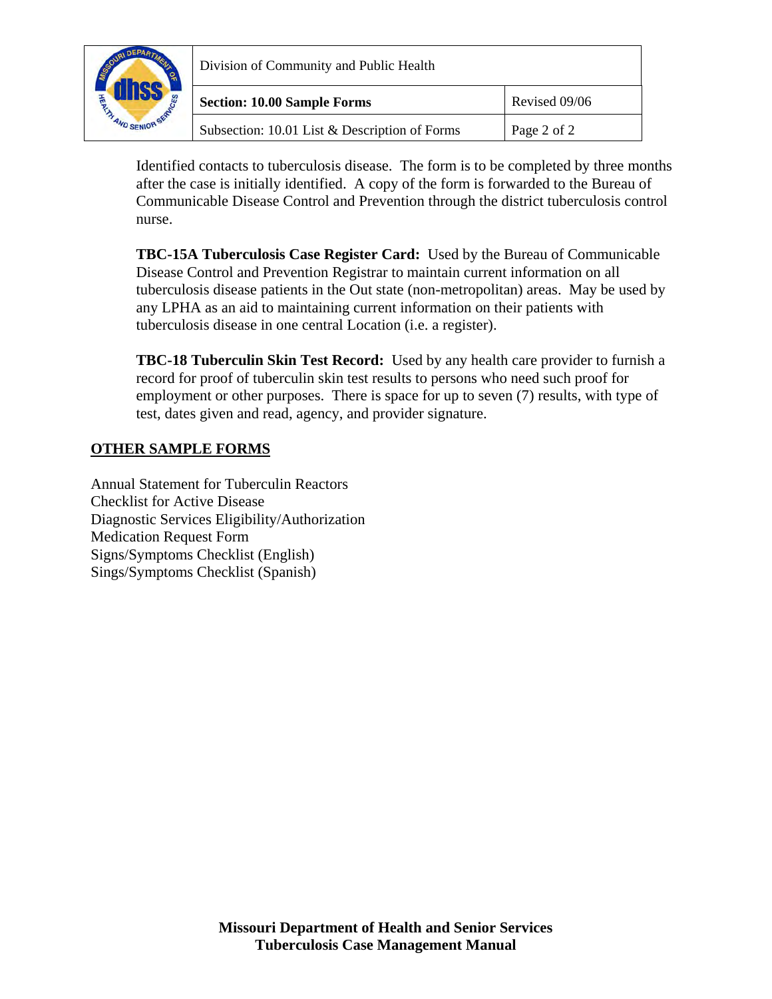

| Division of Community and Public Health       |               |
|-----------------------------------------------|---------------|
| <b>Section: 10.00 Sample Forms</b>            | Revised 09/06 |
| Subsection: 10.01 List & Description of Forms | Page 2 of 2   |

 Identified contacts to tuberculosis disease. The form is to be completed by three months after the case is initially identified. A copy of the form is forwarded to the Bureau of Communicable Disease Control and Prevention through the district tuberculosis control nurse.

**TBC-15A Tuberculosis Case Register Card:** Used by the Bureau of Communicable Disease Control and Prevention Registrar to maintain current information on all tuberculosis disease patients in the Out state (non-metropolitan) areas. May be used by any LPHA as an aid to maintaining current information on their patients with tuberculosis disease in one central Location (i.e. a register).

**TBC-18 Tuberculin Skin Test Record:** Used by any health care provider to furnish a record for proof of tuberculin skin test results to persons who need such proof for employment or other purposes. There is space for up to seven (7) results, with type of test, dates given and read, agency, and provider signature.

## **OTHER SAMPLE FORMS**

Annual Statement for Tuberculin Reactors Checklist for Active Disease Diagnostic Services Eligibility/Authorization Medication Request Form Signs/Symptoms Checklist (English) Sings/Symptoms Checklist (Spanish)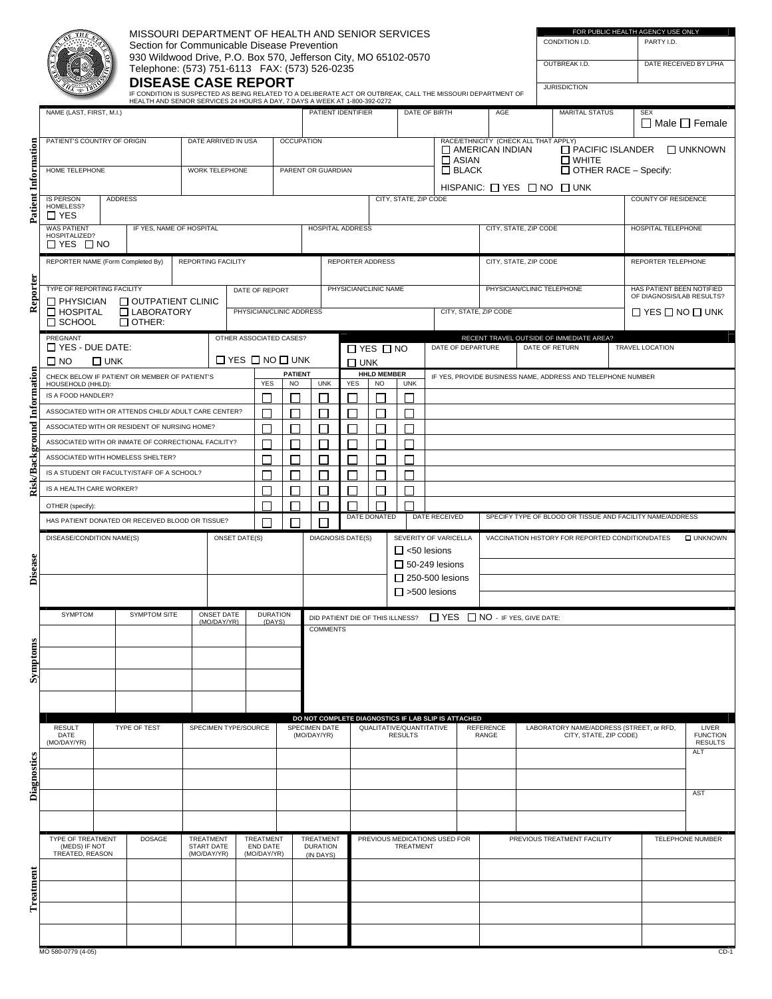<span id="page-3-0"></span>

|                             |                                                      |                                                                                         | MISSOURI DEPARTMENT OF HEALTH AND SENIOR SERVICES                                                           |                                |                                 |                                                                                            |                           |                              |                    |                          |                                  |                |                       |                                                             |              |                                                                 |                |                     |                             |                        | FOR PUBLIC HEALTH AGENCY USE ONLY                      |                              |
|-----------------------------|------------------------------------------------------|-----------------------------------------------------------------------------------------|-------------------------------------------------------------------------------------------------------------|--------------------------------|---------------------------------|--------------------------------------------------------------------------------------------|---------------------------|------------------------------|--------------------|--------------------------|----------------------------------|----------------|-----------------------|-------------------------------------------------------------|--------------|-----------------------------------------------------------------|----------------|---------------------|-----------------------------|------------------------|--------------------------------------------------------|------------------------------|
|                             |                                                      |                                                                                         | Section for Communicable Disease Prevention                                                                 |                                |                                 |                                                                                            |                           |                              |                    |                          |                                  |                |                       |                                                             |              |                                                                 |                | CONDITION I.D.      |                             |                        | PARTY I.D.                                             |                              |
|                             |                                                      |                                                                                         | 930 Wildwood Drive, P.O. Box 570, Jefferson City, MO 65102-0570                                             |                                |                                 |                                                                                            |                           |                              |                    |                          |                                  |                |                       |                                                             |              |                                                                 |                | OUTBREAK I.D.       |                             |                        |                                                        | DATE RECEIVED BY LPHA        |
|                             |                                                      |                                                                                         | Telephone: (573) 751-6113 FAX: (573) 526-0235<br><b>DISEASE CASE REPORT</b>                                 |                                |                                 |                                                                                            |                           |                              |                    |                          |                                  |                |                       |                                                             |              |                                                                 |                |                     |                             |                        |                                                        |                              |
|                             |                                                      |                                                                                         | IF CONDITION IS SUSPECTED AS BEING RELATED TO A DELIBERATE ACT OR OUTBREAK, CALL THE MISSOURI DEPARTMENT OF |                                |                                 |                                                                                            |                           |                              |                    |                          |                                  |                |                       |                                                             |              |                                                                 |                | <b>JURISDICTION</b> |                             |                        |                                                        |                              |
|                             | NAME (LAST, FIRST, M.I.)                             |                                                                                         | HEALTH AND SENIOR SERVICES 24 HOURS A DAY, 7 DAYS A WEEK AT 1-800-392-0272                                  |                                |                                 |                                                                                            |                           |                              |                    | PATIENT IDENTIFIER       |                                  |                |                       | DATE OF BIRTH                                               |              | AGE                                                             |                |                     | <b>MARITAL STATUS</b>       |                        | <b>SEX</b>                                             |                              |
|                             |                                                      |                                                                                         |                                                                                                             |                                |                                 |                                                                                            |                           |                              |                    |                          |                                  |                |                       |                                                             |              |                                                                 |                |                     |                             |                        |                                                        | $\Box$ Male $\Box$ Female    |
|                             | PATIENT'S COUNTRY OF ORIGIN                          |                                                                                         |                                                                                                             |                                | DATE ARRIVED IN USA             |                                                                                            |                           | <b>OCCUPATION</b>            |                    |                          |                                  |                |                       |                                                             |              | RACE/ETHNICITY (CHECK ALL THAT APPLY)<br>$\Box$ AMERICAN INDIAN |                |                     | $\Box$ PACIFIC ISLANDER     |                        |                                                        | $\Box$ UNKNOWN               |
|                             |                                                      |                                                                                         |                                                                                                             |                                |                                 |                                                                                            |                           |                              |                    |                          |                                  |                |                       |                                                             | $\Box$ ASIAN |                                                                 |                |                     | <b>N</b> WHITE              |                        |                                                        |                              |
|                             | <b>HOME TELEPHONE</b>                                |                                                                                         |                                                                                                             |                                | <b>WORK TELEPHONE</b>           |                                                                                            |                           | PARENT OR GUARDIAN           |                    |                          |                                  |                |                       |                                                             | $\Box$ BLACK |                                                                 |                |                     |                             |                        | $\Box$ OTHER RACE – Specify:                           |                              |
|                             | <b>IS PERSON</b>                                     | <b>ADDRESS</b>                                                                          |                                                                                                             |                                |                                 |                                                                                            |                           |                              |                    |                          |                                  |                | CITY, STATE, ZIP CODE |                                                             |              | HISPANIC: $\Box$ YES $\Box$ NO $\Box$ UNK                       |                |                     |                             |                        | <b>COUNTY OF RESIDENCE</b>                             |                              |
| Patient Information         | HOMELESS?<br>$\Box$ YES                              |                                                                                         |                                                                                                             |                                |                                 |                                                                                            |                           |                              |                    |                          |                                  |                |                       |                                                             |              |                                                                 |                |                     |                             |                        |                                                        |                              |
|                             | <b>WAS PATIENT</b><br>HOSPITALIZED?                  |                                                                                         | IF YES, NAME OF HOSPITAL                                                                                    |                                |                                 |                                                                                            |                           |                              |                    | HOSPITAL ADDRESS         |                                  |                |                       |                                                             |              | CITY, STATE, ZIP CODE                                           |                |                     |                             |                        | HOSPITAL TELEPHONE                                     |                              |
|                             | $\Box$ YES $\Box$ NO                                 |                                                                                         |                                                                                                             |                                |                                 |                                                                                            |                           |                              |                    |                          |                                  |                |                       |                                                             |              |                                                                 |                |                     |                             |                        |                                                        |                              |
|                             | REPORTER NAME (Form Completed By)                    |                                                                                         |                                                                                                             |                                | <b>REPORTING FACILITY</b>       |                                                                                            |                           |                              |                    |                          | REPORTER ADDRESS                 |                |                       |                                                             |              | CITY, STATE, ZIP CODE                                           |                |                     |                             |                        | REPORTER TELEPHONE                                     |                              |
|                             |                                                      |                                                                                         |                                                                                                             |                                |                                 |                                                                                            |                           |                              |                    |                          |                                  |                |                       |                                                             |              | PHYSICIAN/CLINIC TELEPHONE                                      |                |                     |                             |                        |                                                        |                              |
| Reporter                    | TYPE OF REPORTING FACILITY<br>$\Box$ PHYSICIAN       |                                                                                         | $\Box$ OUTPATIENT CLINIC                                                                                    |                                |                                 | DATE OF REPORT                                                                             |                           |                              |                    |                          | PHYSICIAN/CLINIC NAME            |                |                       |                                                             |              |                                                                 |                |                     |                             |                        | HAS PATIENT BEEN NOTIFIED<br>OF DIAGNOSIS/LAB RESULTS? |                              |
|                             | $\Box$ HOSPITAL<br>$\Box$ SCHOOL                     |                                                                                         | □ LABORATORY<br>$\Box$ OTHER:                                                                               |                                |                                 | PHYSICIAN/CLINIC ADDRESS                                                                   |                           |                              |                    |                          |                                  |                |                       |                                                             |              | CITY, STATE, ZIP CODE                                           |                |                     |                             |                        | $\Box$ YES $\Box$ NO $\Box$ UNK                        |                              |
|                             | PREGNANT                                             |                                                                                         |                                                                                                             |                                |                                 | OTHER ASSOCIATED CASES?                                                                    |                           |                              |                    |                          |                                  |                |                       |                                                             |              | RECENT TRAVEL OUTSIDE OF IMMEDIATE AREA?                        |                |                     |                             |                        |                                                        |                              |
|                             | $\Box$ YES - DUE DATE:                               |                                                                                         |                                                                                                             |                                |                                 |                                                                                            |                           |                              |                    | $\Box$ YES $\Box$ NO     |                                  |                |                       | DATE OF DEPARTURE                                           |              |                                                                 | DATE OF RETURN |                     |                             | <b>TRAVEL LOCATION</b> |                                                        |                              |
|                             | $\square$ NO                                         | $\square$ UNK                                                                           |                                                                                                             |                                | $\Box$ YES $\Box$ NO $\Box$ UNK | <b>PATIENT</b>                                                                             |                           | $\square$ UNK                | <b>HHLD MEMBER</b> |                          |                                  |                |                       | IF YES, PROVIDE BUSINESS NAME, ADDRESS AND TELEPHONE NUMBER |              |                                                                 |                |                     |                             |                        |                                                        |                              |
|                             |                                                      | CHECK BELOW IF PATIENT OR MEMBER OF PATIENT'S<br>HOUSEHOLD (HHLD)<br>IS A FOOD HANDLER? |                                                                                                             |                                |                                 |                                                                                            |                           |                              | <b>UNK</b>         | <b>YES</b>               | N <sub>O</sub>                   |                | <b>UNK</b>            |                                                             |              |                                                                 |                |                     |                             |                        |                                                        |                              |
|                             | ASSOCIATED WITH OR ATTENDS CHILD/ ADULT CARE CENTER? |                                                                                         |                                                                                                             |                                |                                 |                                                                                            |                           |                              |                    |                          |                                  |                |                       |                                                             |              |                                                                 |                |                     |                             |                        |                                                        |                              |
|                             |                                                      |                                                                                         | ASSOCIATED WITH OR RESIDENT OF NURSING HOME?                                                                |                                |                                 |                                                                                            |                           |                              |                    |                          |                                  |                | L                     |                                                             |              |                                                                 |                |                     |                             |                        |                                                        |                              |
|                             |                                                      |                                                                                         | ASSOCIATED WITH OR INMATE OF CORRECTIONAL FACILITY?                                                         |                                |                                 |                                                                                            |                           |                              |                    |                          |                                  |                |                       |                                                             |              |                                                                 |                |                     |                             |                        |                                                        |                              |
|                             |                                                      |                                                                                         | ASSOCIATED WITH HOMELESS SHELTER?                                                                           |                                |                                 |                                                                                            |                           |                              |                    |                          |                                  |                | г                     |                                                             |              |                                                                 |                |                     |                             |                        |                                                        |                              |
| Risk/Background Information | IS A STUDENT OR FACULTY/STAFF OF A SCHOOL?           |                                                                                         |                                                                                                             |                                |                                 |                                                                                            |                           |                              |                    |                          |                                  |                | ┍                     |                                                             |              |                                                                 |                |                     |                             |                        |                                                        |                              |
|                             | IS A HEALTH CARE WORKER?                             |                                                                                         |                                                                                                             |                                |                                 | г                                                                                          |                           |                              |                    |                          |                                  |                | г                     |                                                             |              |                                                                 |                |                     |                             |                        |                                                        |                              |
|                             | OTHER (specify):                                     |                                                                                         |                                                                                                             |                                |                                 | DATE RECEIVED<br>DATE DONATED<br>SPECIFY TYPE OF BLOOD OR TISSUE AND FACILITY NAME/ADDRESS |                           |                              |                    |                          |                                  |                |                       |                                                             |              |                                                                 |                |                     |                             |                        |                                                        |                              |
|                             |                                                      |                                                                                         | HAS PATIENT DONATED OR RECEIVED BLOOD OR TISSUE?                                                            |                                |                                 |                                                                                            | П                         |                              |                    |                          |                                  |                |                       |                                                             |              |                                                                 |                |                     |                             |                        |                                                        |                              |
|                             | DISEASE/CONDITION NAME(S)                            |                                                                                         |                                                                                                             |                                | <b>ONSET DATE(S)</b>            |                                                                                            |                           |                              |                    | <b>DIAGNOSIS DATE(S)</b> |                                  |                |                       | SEVERITY OF VARICELLA<br>$\Box$ <50 lesions                 |              | VACCINATION HISTORY FOR REPORTED CONDITION/DATES                |                |                     |                             |                        |                                                        | <b>O UNKNOWN</b>             |
| Disease                     |                                                      |                                                                                         |                                                                                                             |                                |                                 |                                                                                            |                           |                              |                    |                          |                                  |                |                       | $\Box$ 50-249 lesions                                       |              |                                                                 |                |                     |                             |                        |                                                        |                              |
|                             |                                                      |                                                                                         |                                                                                                             |                                |                                 |                                                                                            |                           |                              |                    |                          |                                  |                |                       | $\Box$ 250-500 lesions                                      |              |                                                                 |                |                     |                             |                        |                                                        |                              |
|                             |                                                      |                                                                                         |                                                                                                             |                                |                                 |                                                                                            |                           |                              |                    |                          |                                  |                |                       | $\Box$ >500 lesions                                         |              |                                                                 |                |                     |                             |                        |                                                        |                              |
|                             | <b>SYMPTOM</b>                                       |                                                                                         | <b>SYMPTOM SITE</b>                                                                                         |                                | ONSET DATE<br>(MO/DAY/YR)       |                                                                                            | <b>DURATION</b><br>(DAYS) |                              |                    |                          | DID PATIENT DIE OF THIS ILLNESS? |                |                       |                                                             |              | □ YES □ NO - IF YES, GIVE DATE:                                 |                |                     |                             |                        |                                                        |                              |
|                             |                                                      |                                                                                         |                                                                                                             |                                |                                 |                                                                                            |                           |                              | <b>COMMENTS</b>    |                          |                                  |                |                       |                                                             |              |                                                                 |                |                     |                             |                        |                                                        |                              |
| Symptoms                    |                                                      |                                                                                         |                                                                                                             |                                |                                 |                                                                                            |                           |                              |                    |                          |                                  |                |                       |                                                             |              |                                                                 |                |                     |                             |                        |                                                        |                              |
|                             |                                                      |                                                                                         |                                                                                                             |                                |                                 |                                                                                            |                           |                              |                    |                          |                                  |                |                       |                                                             |              |                                                                 |                |                     |                             |                        |                                                        |                              |
|                             |                                                      |                                                                                         |                                                                                                             |                                |                                 |                                                                                            |                           |                              |                    |                          |                                  |                |                       |                                                             |              |                                                                 |                |                     |                             |                        |                                                        |                              |
|                             |                                                      |                                                                                         |                                                                                                             |                                |                                 |                                                                                            |                           |                              |                    |                          |                                  |                |                       | DO NOT COMPLETE DIAGNOSTICS IF LAB SLIP IS ATTACHED         |              |                                                                 |                |                     |                             |                        |                                                        |                              |
|                             | <b>RESULT</b><br>DATE                                |                                                                                         | TYPE OF TEST                                                                                                |                                | SPECIMEN TYPE/SOURCE            |                                                                                            |                           | SPECIMEN DATE<br>(MO/DAY/YR) |                    |                          | QUALITATIVE/QUANTITATIVE         | <b>RESULTS</b> |                       |                                                             |              | <b>REFERENCE</b><br>RANGE                                       |                |                     | CITY, STATE, ZIP CODE)      |                        | LABORATORY NAME/ADDRESS (STREET, or RFD,               | LIVER<br><b>FUNCTION</b>     |
|                             | (MO/DAY/YR)                                          |                                                                                         |                                                                                                             |                                |                                 |                                                                                            |                           |                              |                    |                          |                                  |                |                       |                                                             |              |                                                                 |                |                     |                             |                        |                                                        | <b>RESULTS</b><br><b>ALT</b> |
| <b>Diagnostics</b>          |                                                      |                                                                                         |                                                                                                             |                                |                                 |                                                                                            |                           |                              |                    |                          |                                  |                |                       |                                                             |              |                                                                 |                |                     |                             |                        |                                                        |                              |
|                             |                                                      |                                                                                         |                                                                                                             |                                |                                 |                                                                                            |                           |                              |                    |                          |                                  |                |                       |                                                             |              |                                                                 |                |                     |                             |                        |                                                        |                              |
|                             |                                                      |                                                                                         |                                                                                                             |                                |                                 |                                                                                            |                           |                              |                    |                          |                                  |                |                       |                                                             |              |                                                                 |                |                     |                             |                        |                                                        | AST                          |
|                             |                                                      |                                                                                         |                                                                                                             |                                |                                 |                                                                                            |                           |                              |                    |                          |                                  |                |                       |                                                             |              |                                                                 |                |                     |                             |                        |                                                        |                              |
|                             | TYPE OF TREATMENT<br>(MEDS) IF NOT                   |                                                                                         | <b>DOSAGE</b>                                                                                               | TREATMENT<br><b>START DATE</b> |                                 | TREATMENT<br><b>END DATE</b>                                                               |                           | TREATMENT<br><b>DURATION</b> |                    |                          |                                  |                | TREATMENT             | PREVIOUS MEDICATIONS USED FOR                               |              |                                                                 |                |                     | PREVIOUS TREATMENT FACILITY |                        |                                                        | TELEPHONE NUMBER             |
|                             | TREATED, REASON                                      |                                                                                         |                                                                                                             | (MO/DAY/YR)                    |                                 | (MO/DAY/YR)                                                                                |                           | (IN DAYS)                    |                    |                          |                                  |                |                       |                                                             |              |                                                                 |                |                     |                             |                        |                                                        |                              |
|                             |                                                      |                                                                                         |                                                                                                             |                                |                                 |                                                                                            |                           |                              |                    |                          |                                  |                |                       |                                                             |              |                                                                 |                |                     |                             |                        |                                                        |                              |
| Treatment                   |                                                      |                                                                                         |                                                                                                             |                                |                                 |                                                                                            |                           |                              |                    |                          |                                  |                |                       |                                                             |              |                                                                 |                |                     |                             |                        |                                                        |                              |
|                             |                                                      |                                                                                         |                                                                                                             |                                |                                 |                                                                                            |                           |                              |                    |                          |                                  |                |                       |                                                             |              |                                                                 |                |                     |                             |                        |                                                        |                              |
|                             |                                                      |                                                                                         |                                                                                                             |                                |                                 |                                                                                            |                           |                              |                    |                          |                                  |                |                       |                                                             |              |                                                                 |                |                     |                             |                        |                                                        |                              |
|                             | MO 580-0779 (4-05)                                   |                                                                                         |                                                                                                             |                                |                                 |                                                                                            |                           |                              |                    |                          |                                  |                |                       |                                                             |              |                                                                 |                |                     |                             |                        |                                                        | $CD-1$                       |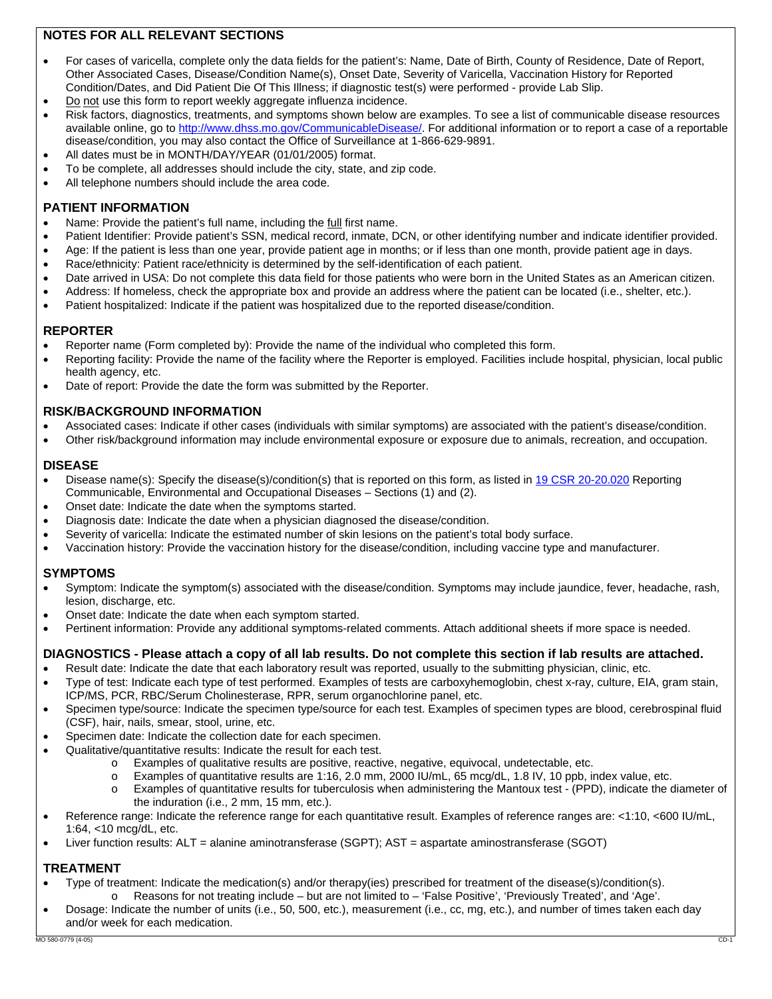### **NOTES FOR ALL RELEVANT SECTIONS**

- For cases of varicella, complete only the data fields for the patient's: Name, Date of Birth, County of Residence, Date of Report, Other Associated Cases, Disease/Condition Name(s), Onset Date, Severity of Varicella, Vaccination History for Reported Condition/Dates, and Did Patient Die Of This Illness; if diagnostic test(s) were performed - provide Lab Slip.
- Do not use this form to report weekly aggregate influenza incidence.
- Risk factors, diagnostics, treatments, and symptoms shown below are examples. To see a list of communicable disease resources available online, go to http://www.dhss.mo.gov/CommunicableDisease/. For additional information or to report a case of a reportable disease/condition, you may also contact the Office of Surveillance at 1-866-629-9891.
- All dates must be in MONTH/DAY/YEAR (01/01/2005) format.
- To be complete, all addresses should include the city, state, and zip code.
- All telephone numbers should include the area code.

#### **PATIENT INFORMATION**

- Name: Provide the patient's full name, including the full first name.
- Patient Identifier: Provide patient's SSN, medical record, inmate, DCN, or other identifying number and indicate identifier provided.
- Age: If the patient is less than one year, provide patient age in months; or if less than one month, provide patient age in days.
- Race/ethnicity: Patient race/ethnicity is determined by the self-identification of each patient.
- Date arrived in USA: Do not complete this data field for those patients who were born in the United States as an American citizen.
- Address: If homeless, check the appropriate box and provide an address where the patient can be located (i.e., shelter, etc.).
- Patient hospitalized: Indicate if the patient was hospitalized due to the reported disease/condition.

#### **REPORTER**

- Reporter name (Form completed by): Provide the name of the individual who completed this form.
- Reporting facility: Provide the name of the facility where the Reporter is employed. Facilities include hospital, physician, local public health agency, etc.
- Date of report: Provide the date the form was submitted by the Reporter.

#### **RISK/BACKGROUND INFORMATION**

- Associated cases: Indicate if other cases (individuals with similar symptoms) are associated with the patient's disease/condition.
- Other risk/background information may include environmental exposure or exposure due to animals, recreation, and occupation.

#### **DISEASE**

- Disease name(s): Specify the disease(s)/condition(s) that is reported on this form, as listed in 19 CSR 20-20.020 Reporting Communicable, Environmental and Occupational Diseases – Sections (1) and (2).
- Onset date: Indicate the date when the symptoms started.
- Diagnosis date: Indicate the date when a physician diagnosed the disease/condition.
- Severity of varicella: Indicate the estimated number of skin lesions on the patient's total body surface.
- Vaccination history: Provide the vaccination history for the disease/condition, including vaccine type and manufacturer.

#### **SYMPTOMS**

- Symptom: Indicate the symptom(s) associated with the disease/condition. Symptoms may include jaundice, fever, headache, rash, lesion, discharge, etc.
- Onset date: Indicate the date when each symptom started.
- Pertinent information: Provide any additional symptoms-related comments. Attach additional sheets if more space is needed.

#### **DIAGNOSTICS - Please attach a copy of all lab results. Do not complete this section if lab results are attached.**

- Result date: Indicate the date that each laboratory result was reported, usually to the submitting physician, clinic, etc.
- Type of test: Indicate each type of test performed. Examples of tests are carboxyhemoglobin, chest x-ray, culture, EIA, gram stain, ICP/MS, PCR, RBC/Serum Cholinesterase, RPR, serum organochlorine panel, etc.
- Specimen type/source: Indicate the specimen type/source for each test. Examples of specimen types are blood, cerebrospinal fluid (CSF), hair, nails, smear, stool, urine, etc.
- Specimen date: Indicate the collection date for each specimen.
- Qualitative/quantitative results: Indicate the result for each test.
	- o Examples of qualitative results are positive, reactive, negative, equivocal, undetectable, etc.
	- o Examples of quantitative results are 1:16, 2.0 mm, 2000 IU/mL, 65 mcg/dL, 1.8 IV, 10 ppb, index value, etc.
	- Examples of quantitative results for tuberculosis when administering the Mantoux test (PPD), indicate the diameter of the induration (i.e., 2 mm, 15 mm, etc.).
- Reference range: Indicate the reference range for each quantitative result. Examples of reference ranges are: <1:10, <600 IU/mL, 1:64, <10 mcg/dL, etc.
- Liver function results: ALT = alanine aminotransferase (SGPT); AST = aspartate aminostransferase (SGOT)

## **TREATMENT**

- Type of treatment: Indicate the medication(s) and/or therapy(ies) prescribed for treatment of the disease(s)/condition(s). Reasons for not treating include – but are not limited to – 'False Positive', 'Previously Treated', and 'Age'.
- Dosage: Indicate the number of units (i.e., 50, 500, etc.), measurement (i.e., cc, mg, etc.), and number of times taken each day and/or week for each medication.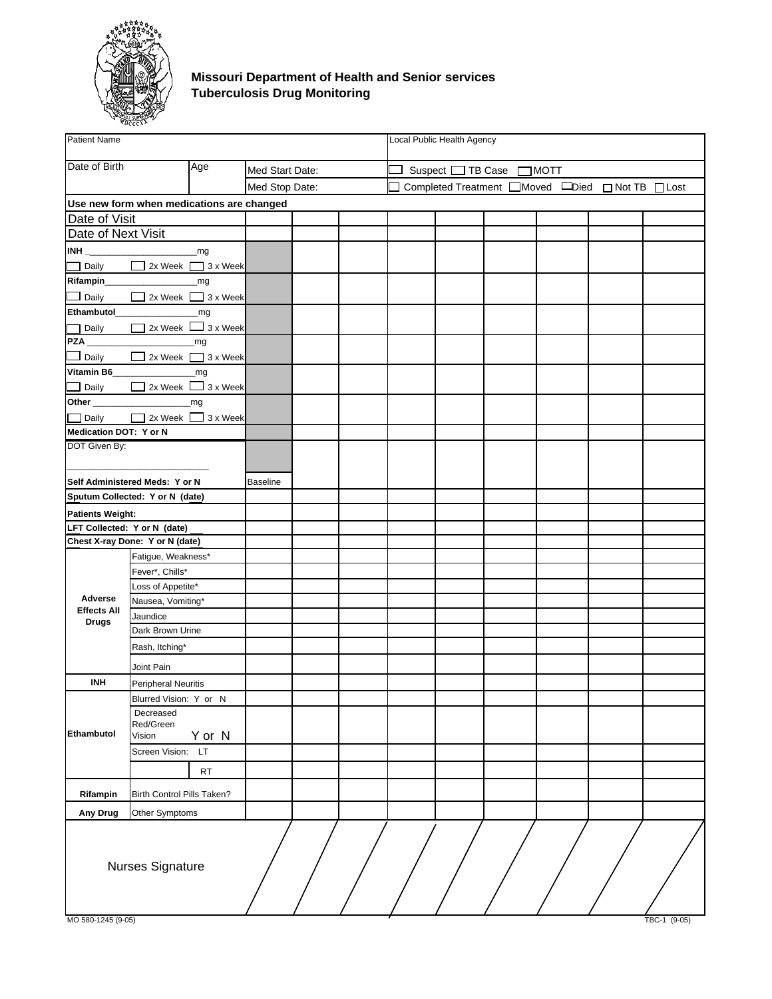<span id="page-5-0"></span>

#### **Missouri Department of Health and Senior services Tuberculosis Drug Monitoring**

| <b>Patient Name</b>                |                                           |           |                 |  | Local Public Health Agency |                          |                                                              |              |
|------------------------------------|-------------------------------------------|-----------|-----------------|--|----------------------------|--------------------------|--------------------------------------------------------------|--------------|
| Date of Birth                      |                                           | Age       | Med Start Date: |  |                            | Suspect □ TB Case □ MOTT |                                                              |              |
|                                    |                                           |           | Med Stop Date:  |  |                            |                          | Completed Treatment <b>IMoved</b> IDied <b>INot TB</b> ILost |              |
|                                    | Use new form when medications are changed |           |                 |  |                            |                          |                                                              |              |
| Date of Visit                      |                                           |           |                 |  |                            |                          |                                                              |              |
| Date of Next Visit                 |                                           |           |                 |  |                            |                          |                                                              |              |
|                                    |                                           |           |                 |  |                            |                          |                                                              |              |
| $\Box$ Daily                       | 2x Week 3 x Week                          |           |                 |  |                            |                          |                                                              |              |
|                                    |                                           |           |                 |  |                            |                          |                                                              |              |
| $\Box$ Daily                       | 2x Week 3 x Week                          |           |                 |  |                            |                          |                                                              |              |
|                                    |                                           |           |                 |  |                            |                          |                                                              |              |
| Daily                              | $\Box$ 2x Week $\Box$ 3 x Week            |           |                 |  |                            |                          |                                                              |              |
| <b>PZA</b>                         | <b>ng</b>                                 |           |                 |  |                            |                          |                                                              |              |
| $\Box$ Daily                       | 2x Week 3 x Week                          |           |                 |  |                            |                          |                                                              |              |
|                                    |                                           |           |                 |  |                            |                          |                                                              |              |
| $\Box$ Daily                       | 2x Week 3 x Week                          |           |                 |  |                            |                          |                                                              |              |
|                                    |                                           |           |                 |  |                            |                          |                                                              |              |
| Daily                              | 2x Week 3 x Week                          |           |                 |  |                            |                          |                                                              |              |
| Medication DOT: Y or N             |                                           |           |                 |  |                            |                          |                                                              |              |
| DOT Given By:                      |                                           |           |                 |  |                            |                          |                                                              |              |
|                                    |                                           |           |                 |  |                            |                          |                                                              |              |
|                                    | Self Administered Meds: Y or N            |           | <b>Baseline</b> |  |                            |                          |                                                              |              |
|                                    | Sputum Collected: Y or N (date)           |           |                 |  |                            |                          |                                                              |              |
| <b>Patients Weight:</b>            |                                           |           |                 |  |                            |                          |                                                              |              |
|                                    | LFT Collected: Y or N (date)              |           |                 |  |                            |                          |                                                              |              |
|                                    | Chest X-ray Done: Y or N (date)           |           |                 |  |                            |                          |                                                              |              |
|                                    | Fatigue, Weakness*                        |           |                 |  |                            |                          |                                                              |              |
|                                    | Fever*, Chills*                           |           |                 |  |                            |                          |                                                              |              |
|                                    | Loss of Appetite*                         |           |                 |  |                            |                          |                                                              |              |
| Adverse                            | Nausea, Vomiting*                         |           |                 |  |                            |                          |                                                              |              |
| <b>Effects All</b><br><b>Drugs</b> | Jaundice                                  |           |                 |  |                            |                          |                                                              |              |
|                                    | Dark Brown Urine                          |           |                 |  |                            |                          |                                                              |              |
|                                    | Rash, Itching*                            |           |                 |  |                            |                          |                                                              |              |
|                                    | Joint Pain                                |           |                 |  |                            |                          |                                                              |              |
| <b>INH</b>                         | <b>Peripheral Neuritis</b>                |           |                 |  |                            |                          |                                                              |              |
|                                    | Blurred Vision: Y or N                    |           |                 |  |                            |                          |                                                              |              |
|                                    | Decreased                                 |           |                 |  |                            |                          |                                                              |              |
|                                    | Red/Green                                 |           |                 |  |                            |                          |                                                              |              |
| Ethambutol                         | Vision                                    | Y or N    |                 |  |                            |                          |                                                              |              |
|                                    | Screen Vision: LT                         |           |                 |  |                            |                          |                                                              |              |
|                                    |                                           | <b>RT</b> |                 |  |                            |                          |                                                              |              |
| Rifampin                           | Birth Control Pills Taken?                |           |                 |  |                            |                          |                                                              |              |
| Any Drug                           | Other Symptoms                            |           |                 |  |                            |                          |                                                              |              |
|                                    | Nurses Signature                          |           |                 |  |                            |                          |                                                              |              |
| MO 580-1245 (9-05)                 |                                           |           |                 |  |                            |                          |                                                              | TBC-1 (9-05) |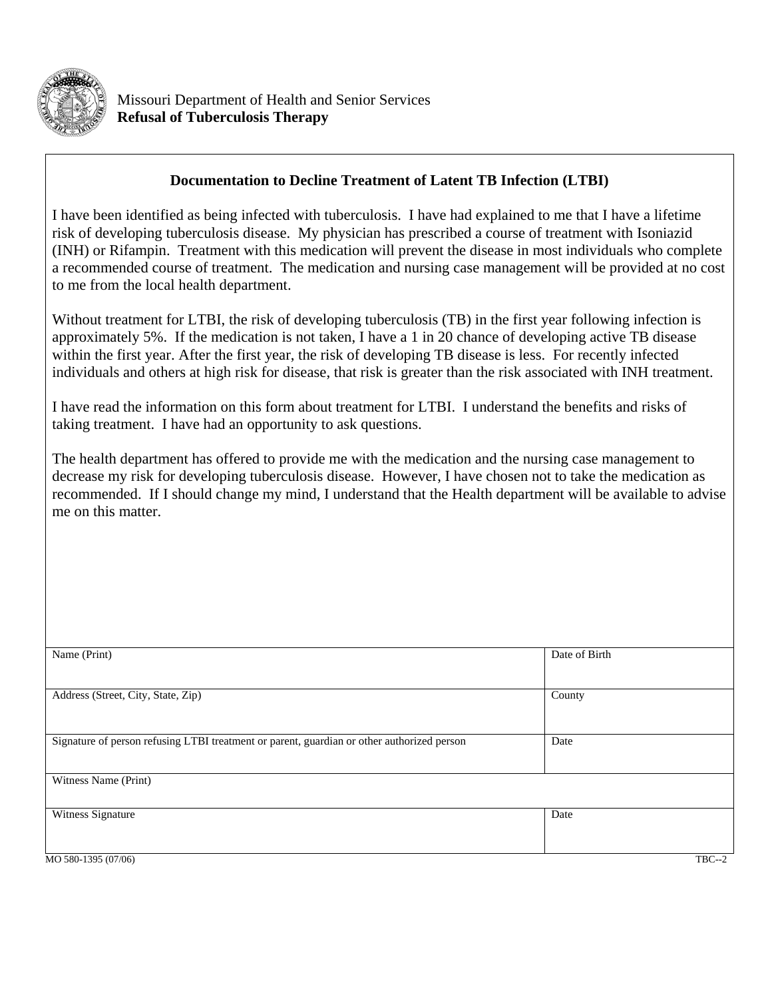<span id="page-6-0"></span>

## **Documentation to Decline Treatment of Latent TB Infection (LTBI)**

I have been identified as being infected with tuberculosis. I have had explained to me that I have a lifetime risk of developing tuberculosis disease. My physician has prescribed a course of treatment with Isoniazid (INH) or Rifampin. Treatment with this medication will prevent the disease in most individuals who complete a recommended course of treatment. The medication and nursing case management will be provided at no cost to me from the local health department.

Without treatment for LTBI, the risk of developing tuberculosis (TB) in the first year following infection is approximately 5%. If the medication is not taken, I have a 1 in 20 chance of developing active TB disease within the first year. After the first year, the risk of developing TB disease is less. For recently infected individuals and others at high risk for disease, that risk is greater than the risk associated with INH treatment.

I have read the information on this form about treatment for LTBI. I understand the benefits and risks of taking treatment. I have had an opportunity to ask questions.

The health department has offered to provide me with the medication and the nursing case management to decrease my risk for developing tuberculosis disease. However, I have chosen not to take the medication as recommended. If I should change my mind, I understand that the Health department will be available to advise me on this matter.

| Name (Print)                                                                               | Date of Birth |
|--------------------------------------------------------------------------------------------|---------------|
|                                                                                            |               |
| Address (Street, City, State, Zip)                                                         | County        |
| Signature of person refusing LTBI treatment or parent, guardian or other authorized person | Date          |
| Witness Name (Print)                                                                       |               |
| Witness Signature                                                                          | Date          |
| MO 580-1395 (07/06)                                                                        | $TBC--2$      |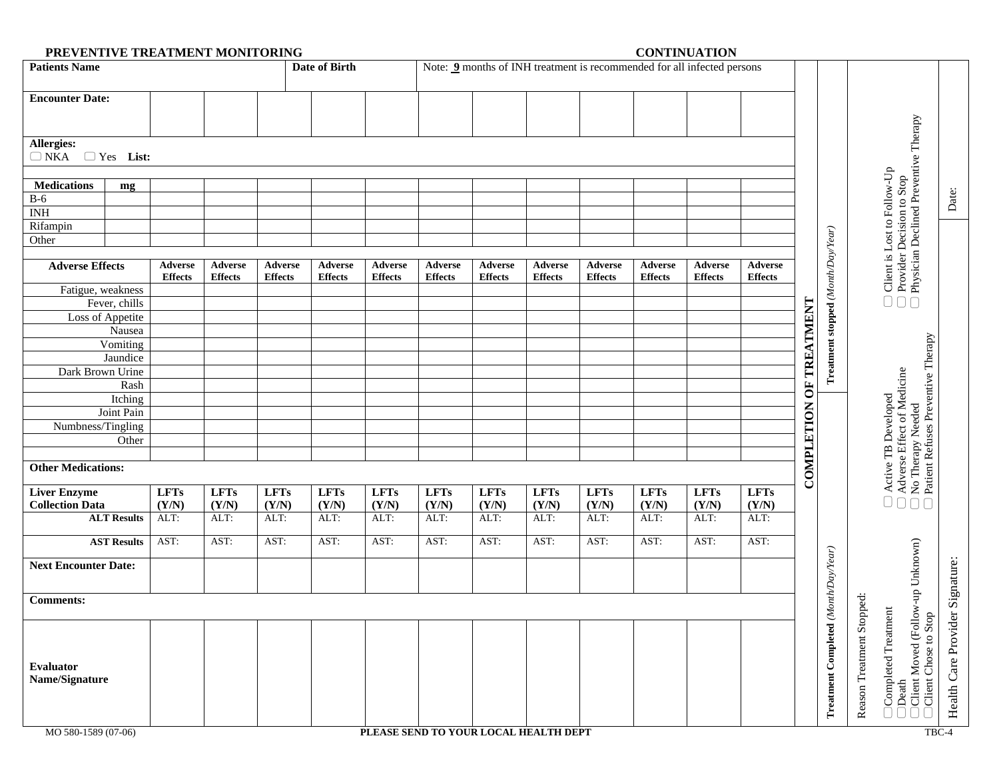| PREVENTIVE TREATMENT MONITORING<br><b>CONTINUATION</b><br><b>Patients Name</b><br><b>Date of Birth</b><br>Note: 9 months of INH treatment is recommended for all infected persons |                |                |                |                |                |                |                                       |                |                |                |                |             |                |                                    |                  |                                                                                                                   |                      |
|-----------------------------------------------------------------------------------------------------------------------------------------------------------------------------------|----------------|----------------|----------------|----------------|----------------|----------------|---------------------------------------|----------------|----------------|----------------|----------------|-------------|----------------|------------------------------------|------------------|-------------------------------------------------------------------------------------------------------------------|----------------------|
|                                                                                                                                                                                   |                |                |                |                |                |                |                                       |                |                |                |                |             |                |                                    |                  |                                                                                                                   |                      |
| <b>Encounter Date:</b>                                                                                                                                                            |                |                |                |                |                |                |                                       |                |                |                |                |             |                |                                    |                  |                                                                                                                   |                      |
|                                                                                                                                                                                   |                |                |                |                |                |                |                                       |                |                |                |                |             |                |                                    |                  |                                                                                                                   |                      |
|                                                                                                                                                                                   |                |                |                |                |                |                |                                       |                |                |                |                |             |                |                                    |                  | $\Box$ Client is Lost to rouw<br>$\Box$ Provider Decision to Stop<br>$\Box$ Physician Declined Preventive Therapy |                      |
| Allergies:                                                                                                                                                                        |                |                |                |                |                |                |                                       |                |                |                |                |             |                |                                    |                  |                                                                                                                   |                      |
| $\Box$ NKA $\Box$ Yes List:                                                                                                                                                       |                |                |                |                |                |                |                                       |                |                |                |                |             |                |                                    |                  |                                                                                                                   |                      |
|                                                                                                                                                                                   |                |                |                |                |                |                |                                       |                |                |                |                |             |                |                                    |                  |                                                                                                                   |                      |
| <b>Medications</b><br>mg                                                                                                                                                          |                |                |                |                |                |                |                                       |                |                |                |                |             |                |                                    |                  |                                                                                                                   |                      |
| $B-6$                                                                                                                                                                             |                |                |                |                |                |                |                                       |                |                |                |                |             |                |                                    |                  |                                                                                                                   | Date:                |
| INH                                                                                                                                                                               |                |                |                |                |                |                |                                       |                |                |                |                |             |                |                                    |                  |                                                                                                                   |                      |
| Rifampin                                                                                                                                                                          |                |                |                |                |                |                |                                       |                |                |                |                |             |                |                                    |                  |                                                                                                                   |                      |
| Other                                                                                                                                                                             |                |                |                |                |                |                |                                       |                |                |                |                |             |                |                                    |                  |                                                                                                                   |                      |
|                                                                                                                                                                                   |                |                |                |                |                |                |                                       |                |                |                |                |             |                |                                    |                  |                                                                                                                   |                      |
| <b>Adverse Effects</b>                                                                                                                                                            | Adverse        | Adverse        | Adverse        | Adverse        | Adverse        | Adverse        | Adverse                               | Adverse        | Adverse        | Adverse        | Adverse        | Adverse     |                |                                    |                  |                                                                                                                   |                      |
|                                                                                                                                                                                   | <b>Effects</b> | <b>Effects</b> | <b>Effects</b> | <b>Effects</b> | <b>Effects</b> | <b>Effects</b> | <b>Effects</b>                        | <b>Effects</b> | <b>Effects</b> | <b>Effects</b> | <b>Effects</b> | Effects     |                |                                    |                  |                                                                                                                   |                      |
| Fatigue, weakness<br>Fever, chills                                                                                                                                                |                |                |                |                |                |                |                                       |                |                |                |                |             |                | Treatment stopped (Month/Day/Year) |                  |                                                                                                                   |                      |
| Loss of Appetite                                                                                                                                                                  |                |                |                |                |                |                |                                       |                |                |                |                |             | TREATMENT      |                                    |                  |                                                                                                                   |                      |
| Nausea                                                                                                                                                                            |                |                |                |                |                |                |                                       |                |                |                |                |             |                |                                    |                  |                                                                                                                   |                      |
| Vomiting                                                                                                                                                                          |                |                |                |                |                |                |                                       |                |                |                |                |             |                |                                    |                  |                                                                                                                   |                      |
| Jaundice                                                                                                                                                                          |                |                |                |                |                |                |                                       |                |                |                |                |             |                |                                    |                  |                                                                                                                   |                      |
| Dark Brown Urine                                                                                                                                                                  |                |                |                |                |                |                |                                       |                |                |                |                |             |                |                                    |                  |                                                                                                                   |                      |
| Rash                                                                                                                                                                              |                |                |                |                |                |                |                                       |                |                |                |                |             |                |                                    |                  |                                                                                                                   |                      |
| Itching                                                                                                                                                                           |                |                |                |                |                |                |                                       |                |                |                |                |             | $\overline{5}$ |                                    |                  |                                                                                                                   |                      |
| Joint Pain                                                                                                                                                                        |                |                |                |                |                |                |                                       |                |                |                |                |             |                |                                    |                  |                                                                                                                   |                      |
| Numbness/Tingling                                                                                                                                                                 |                |                |                |                |                |                |                                       |                |                |                |                |             |                |                                    |                  |                                                                                                                   |                      |
| Other                                                                                                                                                                             |                |                |                |                |                |                |                                       |                |                |                |                |             |                |                                    |                  |                                                                                                                   |                      |
|                                                                                                                                                                                   |                |                |                |                |                |                |                                       |                |                |                |                |             |                |                                    |                  |                                                                                                                   |                      |
| <b>Other Medications:</b>                                                                                                                                                         |                |                |                |                |                |                |                                       |                |                |                |                |             |                |                                    |                  |                                                                                                                   |                      |
|                                                                                                                                                                                   |                |                |                |                |                |                |                                       |                |                |                |                |             | COMPLETION     |                                    |                  | Adverse Effect of Medicine<br>No Therapy Needed<br>Patient Refuses Preventive Therapy<br>Active TB Developed      |                      |
| <b>Liver Enzyme</b>                                                                                                                                                               | <b>LFTs</b>    | <b>LFTs</b>    | <b>LFTs</b>    | LFTs           | <b>LFTs</b>    | <b>LFTs</b>    | <b>LFTs</b>                           | <b>LFTs</b>    | <b>LFTs</b>    | <b>LFTs</b>    | <b>LFTs</b>    | <b>LFTs</b> |                |                                    |                  | $\begin{array}{c} \square \; \square \; \square \; \square \end{array}$                                           |                      |
| <b>Collection Data</b>                                                                                                                                                            | (Y/N)          | (Y/N)          | (Y/N)          | (Y/N)          | (Y/N)          | (Y/N)          | (Y/N)                                 | (Y/N)          | (Y/N)          | (Y/N)          | (Y/N)          | (Y/N)       |                |                                    |                  |                                                                                                                   |                      |
| <b>ALT Results</b>                                                                                                                                                                | ALT:           | ALT:           | ALT:           | ALT:           | ALT:           | ALT:           | ALT:                                  | ALT:           | ALT:           | ALT:           | ALT:           | ALT:        |                |                                    |                  |                                                                                                                   |                      |
| <b>AST Results</b>                                                                                                                                                                | AST:           | AST:           | AST:           | AST:           | AST:           | AST:           | AST:                                  | AST:           | AST:           | AST:           | AST:           | AST:        |                |                                    |                  |                                                                                                                   |                      |
|                                                                                                                                                                                   |                |                |                |                |                |                |                                       |                |                |                |                |             |                |                                    |                  |                                                                                                                   |                      |
| <b>Next Encounter Date:</b>                                                                                                                                                       |                |                |                |                |                |                |                                       |                |                |                |                |             |                |                                    |                  |                                                                                                                   |                      |
|                                                                                                                                                                                   |                |                |                |                |                |                |                                       |                |                |                |                |             |                |                                    |                  |                                                                                                                   |                      |
| <b>Comments:</b>                                                                                                                                                                  |                |                |                |                |                |                |                                       |                |                |                |                |             |                | $\omega$                           | ped:             |                                                                                                                   | Signature:           |
|                                                                                                                                                                                   |                |                |                |                |                |                |                                       |                |                |                |                |             |                |                                    |                  |                                                                                                                   |                      |
|                                                                                                                                                                                   |                |                |                |                |                |                |                                       |                |                |                |                |             |                | Treatment Completed (M             | Stop             | Client Moved (Follow-up Unknown)<br>Completed Treatment<br>Stop                                                   | Health Care Provider |
|                                                                                                                                                                                   |                |                |                |                |                |                |                                       |                |                |                |                |             |                |                                    |                  |                                                                                                                   |                      |
|                                                                                                                                                                                   |                |                |                |                |                |                |                                       |                |                |                |                |             |                |                                    | Reason Treatment | Client Chose to                                                                                                   |                      |
| Evaluator                                                                                                                                                                         |                |                |                |                |                |                |                                       |                |                |                |                |             |                |                                    |                  |                                                                                                                   |                      |
| Name/Signature                                                                                                                                                                    |                |                |                |                |                |                |                                       |                |                |                |                |             |                |                                    |                  |                                                                                                                   |                      |
|                                                                                                                                                                                   |                |                |                |                |                |                |                                       |                |                |                |                |             |                |                                    |                  | Death                                                                                                             |                      |
|                                                                                                                                                                                   |                |                |                |                |                |                |                                       |                |                |                |                |             |                |                                    |                  |                                                                                                                   |                      |
|                                                                                                                                                                                   |                |                |                |                |                |                |                                       |                |                |                |                |             |                |                                    |                  |                                                                                                                   |                      |
| MO 580-1589 (07-06)                                                                                                                                                               |                |                |                |                |                |                | PLEASE SEND TO YOUR LOCAL HEALTH DEPT |                |                |                |                |             |                |                                    |                  |                                                                                                                   | TBC-4                |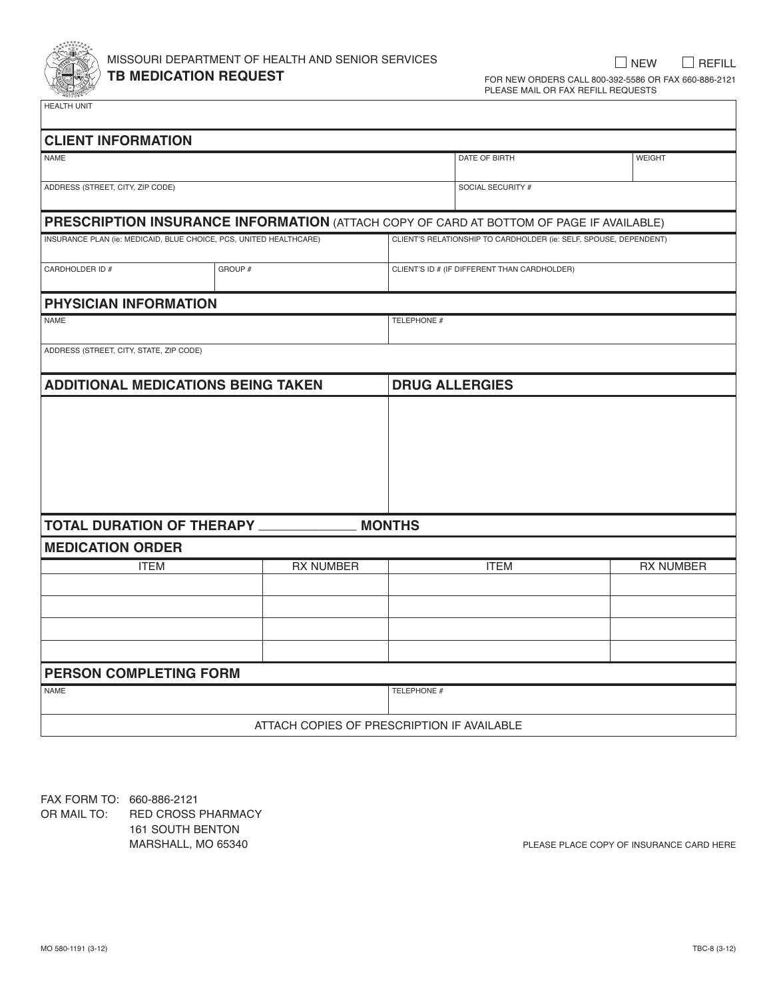<span id="page-8-0"></span>

## missouri department of health and senior services **TB MEDICATION REQUEST**

 $\Box$  NEW  $\Box$  REFILL for new orders call 800-392-5586 or fax 660-886-2121 please mail or fax refill requests

health unit

| <b>CLIENT INFORMATION</b>                                                                      |         |                                            |               |                                                                   |                  |
|------------------------------------------------------------------------------------------------|---------|--------------------------------------------|---------------|-------------------------------------------------------------------|------------------|
| NAME                                                                                           |         |                                            |               | DATE OF BIRTH                                                     | <b>WEIGHT</b>    |
| ADDRESS (STREET, CITY, ZIP CODE)                                                               |         |                                            |               | SOCIAL SECURITY #                                                 |                  |
| <b>PRESCRIPTION INSURANCE INFORMATION</b> (ATTACH COPY OF CARD AT BOTTOM OF PAGE IF AVAILABLE) |         |                                            |               |                                                                   |                  |
| INSURANCE PLAN (ie: MEDICAID, BLUE CHOICE, PCS, UNITED HEALTHCARE)                             |         |                                            |               | CLIENT'S RELATIONSHIP TO CARDHOLDER (ie: SELF, SPOUSE, DEPENDENT) |                  |
| CARDHOLDER ID #                                                                                | GROUP # |                                            |               | CLIENT'S ID # (IF DIFFERENT THAN CARDHOLDER)                      |                  |
| <b>PHYSICIAN INFORMATION</b>                                                                   |         |                                            |               |                                                                   |                  |
| <b>NAME</b>                                                                                    |         |                                            | TELEPHONE #   |                                                                   |                  |
| ADDRESS (STREET, CITY, STATE, ZIP CODE)                                                        |         |                                            |               |                                                                   |                  |
| <b>ADDITIONAL MEDICATIONS BEING TAKEN</b>                                                      |         |                                            |               | <b>DRUG ALLERGIES</b>                                             |                  |
|                                                                                                |         |                                            |               |                                                                   |                  |
| <b>TOTAL DURATION OF THERAPY</b>                                                               |         |                                            | <b>MONTHS</b> |                                                                   |                  |
| <b>MEDICATION ORDER</b>                                                                        |         |                                            |               |                                                                   |                  |
| <b>ITEM</b>                                                                                    |         | <b>RX NUMBER</b>                           |               | <b>ITEM</b>                                                       | <b>RX NUMBER</b> |
|                                                                                                |         |                                            |               |                                                                   |                  |
|                                                                                                |         |                                            |               |                                                                   |                  |
| <b>PERSON COMPLETING FORM</b>                                                                  |         |                                            |               |                                                                   |                  |
| <b>NAME</b>                                                                                    |         |                                            | TELEPHONE #   |                                                                   |                  |
|                                                                                                |         | ATTACH COPIES OF PRESCRIPTION IF AVAILABLE |               |                                                                   |                  |

FAX FORM TO: 660-886-2121<br>OR MAIL TO: RED CROSS RED CROSS PHARMACY 161 south benton

MARSHALL, MO 65340 **please place copy of insurance card here**  $P$  please place copy of insurance card here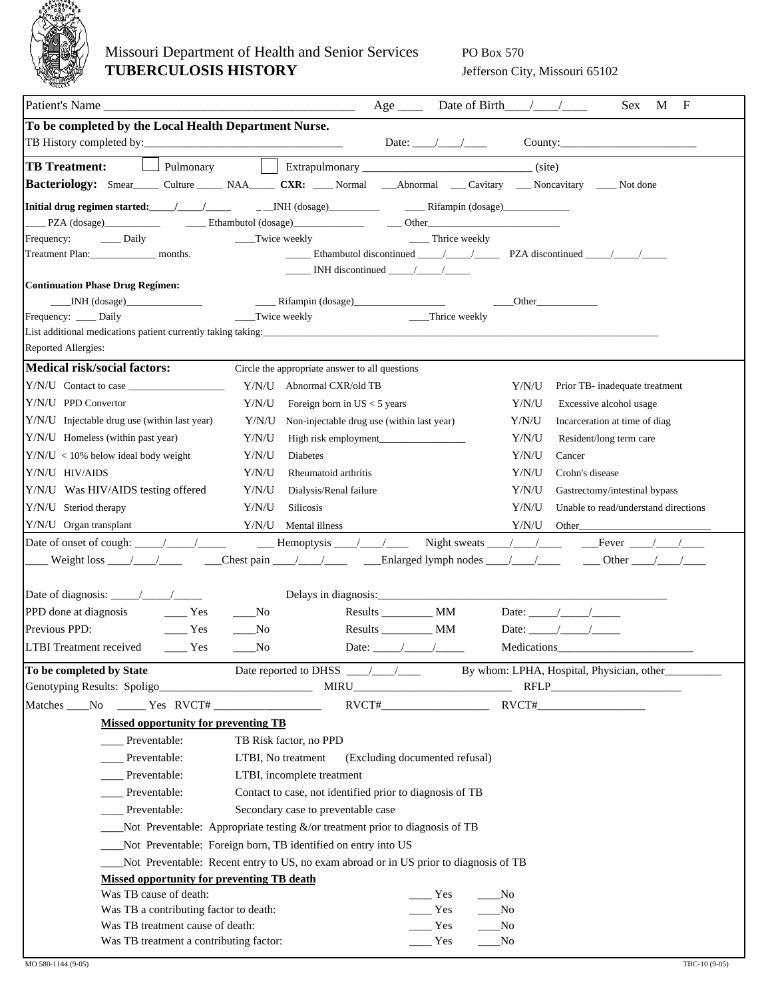<span id="page-9-0"></span>

## Missouri Department of Health and Senior Services PO Box 570 **TUBERCULOSIS HISTORY** Jefferson City, Missouri 65102

|                                                                                     | $\mathbf{F}$<br><b>Sex</b><br>M                                                                                        |
|-------------------------------------------------------------------------------------|------------------------------------------------------------------------------------------------------------------------|
| To be completed by the Local Health Department Nurse.                               | Date: $\angle$                                                                                                         |
| Pulmonary<br><b>TB</b> Treatment:                                                   | (site)                                                                                                                 |
|                                                                                     | Bacteriology: Smear_____ Culture _____ NAA_____ CXR: ____ Normal ___Abnormal ___ Cavitary ___ Noncavitary ___ Not done |
|                                                                                     |                                                                                                                        |
|                                                                                     |                                                                                                                        |
| Daily<br>__Twice weekly<br>Frequency:                                               | Thrice weekly                                                                                                          |
|                                                                                     |                                                                                                                        |
|                                                                                     | $\frac{1}{\sqrt{1-\frac{1}{2}}}\$ INH discontinued $\frac{1}{\sqrt{1-\frac{1}{2}}}\$                                   |
| <b>Continuation Phase Drug Regimen:</b>                                             |                                                                                                                        |
| $\sqrt{\text{NH (dosage)}}$                                                         | <b>Other</b>                                                                                                           |
| __Twice weekly<br>Frequency: ____ Daily                                             | __Thrice weekly                                                                                                        |
| List additional medications patient currently taking taking:<br>Reported Allergies: |                                                                                                                        |
| <b>Medical risk/social factors:</b>                                                 | Circle the appropriate answer to all questions                                                                         |
| Y/N/U Abnormal CXR/old TB                                                           | Y/N/U<br>Prior TB- inadequate treatment                                                                                |
| Y/N/U PPD Convertor<br>Y/N/U                                                        | Y/N/U<br>Foreign born in $US < 5$ years<br>Excessive alcohol usage                                                     |
| Y/N/U Injectable drug use (within last year)                                        | Y/N/U Non-injectable drug use (within last year)<br>Y/N/U<br>Incarceration at time of diag                             |
| $Y/N/U$ Homeless (within past year)<br>Y/N/U                                        | Y/N/U<br>Resident/long term care                                                                                       |
| $Y/N/U < 10\%$ below ideal body weight<br>Y/N/U<br>Diabetes                         | Y/N/U<br>Cancer                                                                                                        |
| Y/N/U HIV/AIDS<br>Y/N/U                                                             | Rheumatoid arthritis<br>Y/N/U<br>Crohn's disease                                                                       |
| Y/N/U<br>Y/N/U Was HIV/AIDS testing offered                                         | Y/N/U<br>Gastrectomy/intestinal bypass<br>Dialysis/Renal failure                                                       |
| Y/N/U Steriod therapy<br>Y/N/U<br><b>Silicosis</b>                                  | Y/N/U<br>Unable to read/understand directions                                                                          |
| Y/N/U Organ transplant<br>Y/N/U<br>Mental illness                                   | Y/N/U<br>Other                                                                                                         |
|                                                                                     |                                                                                                                        |
|                                                                                     |                                                                                                                        |
|                                                                                     |                                                                                                                        |
| Yes<br>PPD done at diagnosis<br>$\mathbf{N}\mathbf{o}$                              | Results ____________ MM<br>Date: $\frac{\sqrt{2}}{2}$                                                                  |
| Previous PPD:<br>Yes<br>No.                                                         | $Results$ $MM$<br>Date: $/$ /                                                                                          |
| <b>LTBI</b> Treatment received<br>$\frac{1}{1}$ Yes<br>$\sqrt{N_0}$                 | Date: $/$ /<br>Medications                                                                                             |
|                                                                                     |                                                                                                                        |
| To be completed by State                                                            |                                                                                                                        |
|                                                                                     | $\text{RVCT}\#$                                                                                                        |
| <b>Missed opportunity for preventing TB</b>                                         |                                                                                                                        |
| Preventable:<br>TB Risk factor, no PPD                                              |                                                                                                                        |
| Preventable:<br>LTBI, No treatment                                                  | (Excluding documented refusal)                                                                                         |
| Preventable:<br>LTBI, incomplete treatment                                          |                                                                                                                        |
| Preventable:                                                                        | Contact to case, not identified prior to diagnosis of TB                                                               |
| Preventable:<br>Secondary case to preventable case                                  |                                                                                                                        |
| Not Preventable: Appropriate testing $\&$ /or treatment prior to diagnosis of TB    |                                                                                                                        |
| ___Not Preventable: Foreign born, TB identified on entry into US                    |                                                                                                                        |
|                                                                                     |                                                                                                                        |
| <b>Missed opportunity for preventing TB death</b>                                   | Not Preventable: Recent entry to US, no exam abroad or in US prior to diagnosis of TB                                  |
| Was TB cause of death:                                                              | Yes<br>__No                                                                                                            |
| Was TB a contributing factor to death:                                              | Yes<br>_No                                                                                                             |
| Was TB treatment cause of death:                                                    | Yes<br>_No                                                                                                             |
| Was TB treatment a contributing factor:                                             | Yes<br>No                                                                                                              |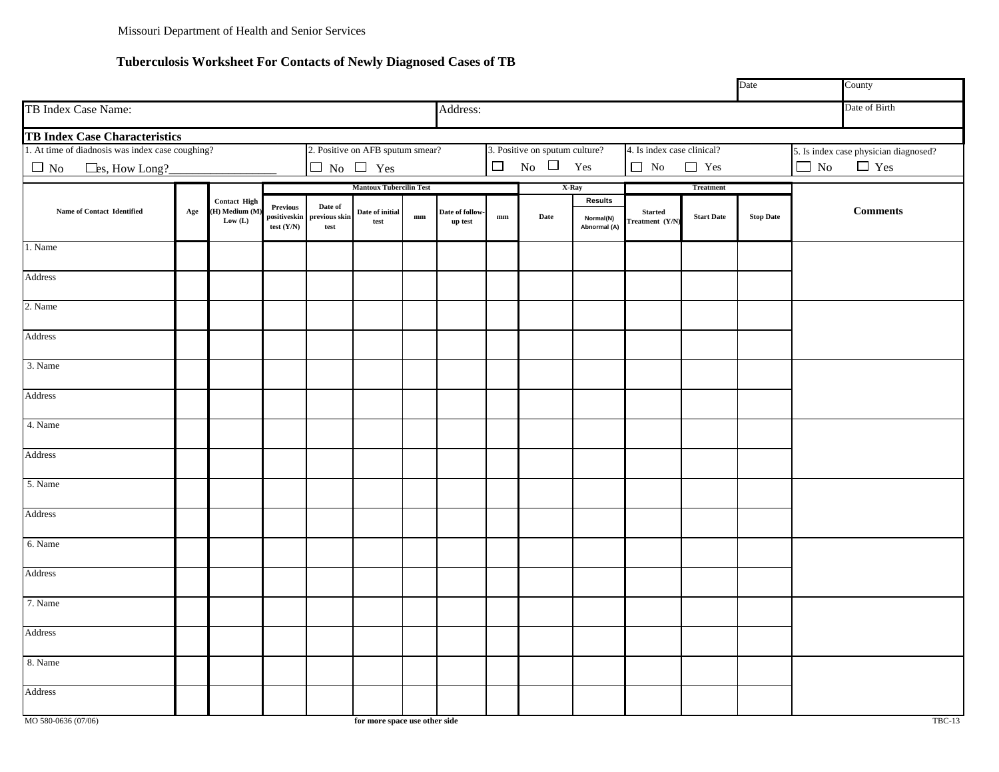#### **Tuberculosis Worksheet For Contacts of Newly Diagnosed Cases of TB**

<span id="page-10-0"></span>

|                                                  |     |                           |                                                 |                                             |                                    |               |                            |                        |                                |                           |                                   |                   | Date             |           | County                                |
|--------------------------------------------------|-----|---------------------------|-------------------------------------------------|---------------------------------------------|------------------------------------|---------------|----------------------------|------------------------|--------------------------------|---------------------------|-----------------------------------|-------------------|------------------|-----------|---------------------------------------|
| TB Index Case Name:                              |     |                           |                                                 |                                             |                                    |               | Address:                   |                        |                                |                           |                                   |                   |                  |           | Date of Birth                         |
| TB Index Case Characteristics                    |     |                           |                                                 |                                             |                                    |               |                            |                        |                                |                           |                                   |                   |                  |           |                                       |
| 1. At time of diadnosis was index case coughing? |     |                           |                                                 |                                             | 2. Positive on AFB sputum smear?   |               |                            |                        | 3. Positive on sputum culture? |                           | 4. Is index case clinical?        |                   |                  |           | 5. Is index case physician diagnosed? |
| $\Box$ No<br>Les, How Long?                      |     |                           |                                                 |                                             | $\Box$ No $\Box$ Yes               |               |                            | $\Box$                 | No $\Box$ Yes                  |                           | $\Box$ No                         | $\Box$ Yes        |                  | $\Box$ No | $\Box$ Yes                            |
|                                                  |     |                           |                                                 |                                             | <b>Mantoux Tubercilin Test</b>     |               |                            |                        | X-Ray                          |                           |                                   | <b>Treatment</b>  |                  |           |                                       |
|                                                  |     | <b>Contact High</b>       |                                                 |                                             |                                    |               |                            |                        |                                | <b>Results</b>            |                                   |                   |                  |           |                                       |
| Name of Contact Identified                       | Age | (H) Medium (M)<br>Low (L) | <b>Previous</b><br>positiveskin<br>test $(Y/N)$ | Date of<br>previous skin<br>$\mathbf{test}$ | Date of initial<br>$\mathbf{test}$ | $\mathbf{mm}$ | Date of follow-<br>up test | $\mathbf{m}\mathbf{m}$ | Date                           | Normal(N)<br>Abnormal (A) | <b>Started</b><br>Treatment (Y/N) | <b>Start Date</b> | <b>Stop Date</b> |           | <b>Comments</b>                       |
| 1. Name                                          |     |                           |                                                 |                                             |                                    |               |                            |                        |                                |                           |                                   |                   |                  |           |                                       |
| Address                                          |     |                           |                                                 |                                             |                                    |               |                            |                        |                                |                           |                                   |                   |                  |           |                                       |
| 2. Name                                          |     |                           |                                                 |                                             |                                    |               |                            |                        |                                |                           |                                   |                   |                  |           |                                       |
| Address                                          |     |                           |                                                 |                                             |                                    |               |                            |                        |                                |                           |                                   |                   |                  |           |                                       |
| 3. Name                                          |     |                           |                                                 |                                             |                                    |               |                            |                        |                                |                           |                                   |                   |                  |           |                                       |
| Address                                          |     |                           |                                                 |                                             |                                    |               |                            |                        |                                |                           |                                   |                   |                  |           |                                       |
| 4. Name                                          |     |                           |                                                 |                                             |                                    |               |                            |                        |                                |                           |                                   |                   |                  |           |                                       |
| Address                                          |     |                           |                                                 |                                             |                                    |               |                            |                        |                                |                           |                                   |                   |                  |           |                                       |
| 5. Name                                          |     |                           |                                                 |                                             |                                    |               |                            |                        |                                |                           |                                   |                   |                  |           |                                       |
| Address                                          |     |                           |                                                 |                                             |                                    |               |                            |                        |                                |                           |                                   |                   |                  |           |                                       |
| 6. Name                                          |     |                           |                                                 |                                             |                                    |               |                            |                        |                                |                           |                                   |                   |                  |           |                                       |
| Address                                          |     |                           |                                                 |                                             |                                    |               |                            |                        |                                |                           |                                   |                   |                  |           |                                       |
| 7. Name                                          |     |                           |                                                 |                                             |                                    |               |                            |                        |                                |                           |                                   |                   |                  |           |                                       |
| Address                                          |     |                           |                                                 |                                             |                                    |               |                            |                        |                                |                           |                                   |                   |                  |           |                                       |
| 8. Name                                          |     |                           |                                                 |                                             |                                    |               |                            |                        |                                |                           |                                   |                   |                  |           |                                       |
| Address                                          |     |                           |                                                 |                                             |                                    |               |                            |                        |                                |                           |                                   |                   |                  |           |                                       |
| MO 580-0636 (07/06)                              |     |                           |                                                 |                                             | for more space use other side      |               |                            |                        |                                |                           |                                   |                   |                  |           | <b>TBC-13</b>                         |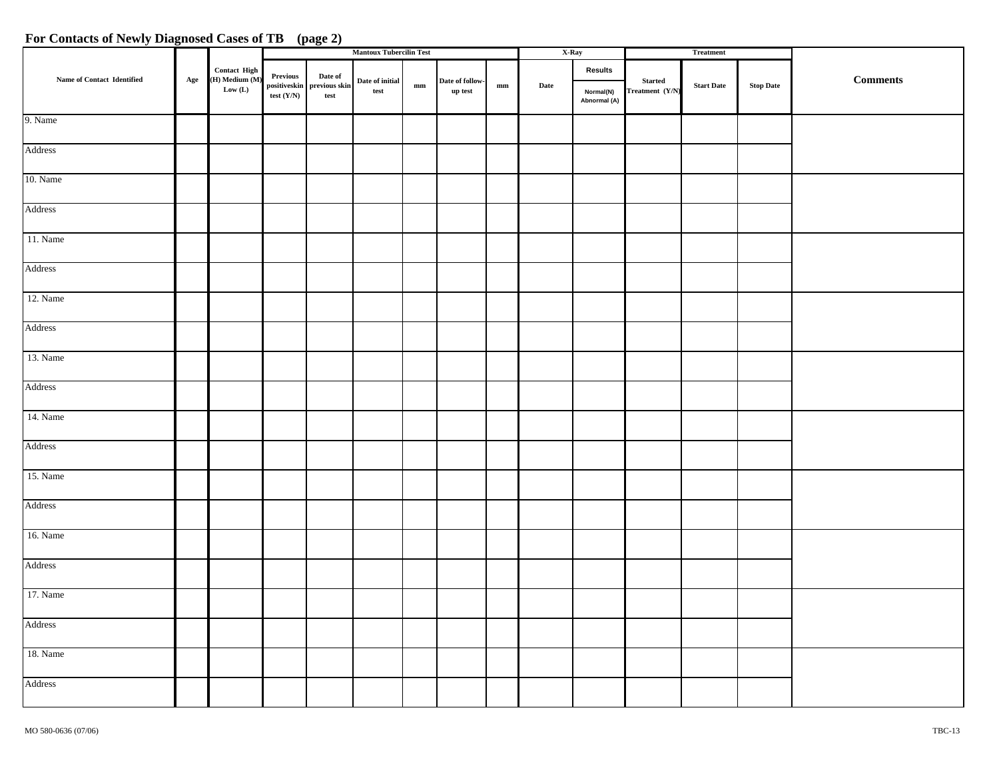#### **For Contacts of Newly Diagnosed Cases of TB (page 2)**

|                            |     |                                |              |                                                 | <b>Mantoux Tubercilin Test</b>                                    |               |                            |                        | X-Ray |                           |                                   | <b>Treatment</b>  |                                     |            |
|----------------------------|-----|--------------------------------|--------------|-------------------------------------------------|-------------------------------------------------------------------|---------------|----------------------------|------------------------|-------|---------------------------|-----------------------------------|-------------------|-------------------------------------|------------|
| Name of Contact Identified |     | Contact High<br>(H) Medium (M) | Previous     | Date of                                         |                                                                   |               |                            |                        |       | <b>Results</b>            |                                   |                   |                                     | $Comments$ |
|                            | Age | $\mathbf{Low}\ (\mathbf{L})$   | test $(Y/N)$ | positiveskin previous skin<br>$\mathfrak{test}$ | $\mathbf{Date}\ \mathbf{of}\ \mathbf{initial}$<br>$\mathbf{test}$ | $\mathbf{mm}$ | Date of follow-<br>up test | $\mathbf{m}\mathbf{m}$ | Date  | Normal(N)<br>Abnormal (A) | <b>Started</b><br>Treatment (Y/N) | <b>Start Date</b> | $\operatorname{\mathbf{Stop}}$ Date |            |
| 9. Name                    |     |                                |              |                                                 |                                                                   |               |                            |                        |       |                           |                                   |                   |                                     |            |
| Address                    |     |                                |              |                                                 |                                                                   |               |                            |                        |       |                           |                                   |                   |                                     |            |
| 10. Name                   |     |                                |              |                                                 |                                                                   |               |                            |                        |       |                           |                                   |                   |                                     |            |
| Address                    |     |                                |              |                                                 |                                                                   |               |                            |                        |       |                           |                                   |                   |                                     |            |
| 11. Name                   |     |                                |              |                                                 |                                                                   |               |                            |                        |       |                           |                                   |                   |                                     |            |
| Address                    |     |                                |              |                                                 |                                                                   |               |                            |                        |       |                           |                                   |                   |                                     |            |
| 12. Name                   |     |                                |              |                                                 |                                                                   |               |                            |                        |       |                           |                                   |                   |                                     |            |
| Address                    |     |                                |              |                                                 |                                                                   |               |                            |                        |       |                           |                                   |                   |                                     |            |
| 13. Name                   |     |                                |              |                                                 |                                                                   |               |                            |                        |       |                           |                                   |                   |                                     |            |
| Address                    |     |                                |              |                                                 |                                                                   |               |                            |                        |       |                           |                                   |                   |                                     |            |
| 14. Name                   |     |                                |              |                                                 |                                                                   |               |                            |                        |       |                           |                                   |                   |                                     |            |
| Address                    |     |                                |              |                                                 |                                                                   |               |                            |                        |       |                           |                                   |                   |                                     |            |
| 15. Name                   |     |                                |              |                                                 |                                                                   |               |                            |                        |       |                           |                                   |                   |                                     |            |
| Address                    |     |                                |              |                                                 |                                                                   |               |                            |                        |       |                           |                                   |                   |                                     |            |
| 16. Name                   |     |                                |              |                                                 |                                                                   |               |                            |                        |       |                           |                                   |                   |                                     |            |
| Address                    |     |                                |              |                                                 |                                                                   |               |                            |                        |       |                           |                                   |                   |                                     |            |
| 17. Name                   |     |                                |              |                                                 |                                                                   |               |                            |                        |       |                           |                                   |                   |                                     |            |
| Address                    |     |                                |              |                                                 |                                                                   |               |                            |                        |       |                           |                                   |                   |                                     |            |
| 18. Name                   |     |                                |              |                                                 |                                                                   |               |                            |                        |       |                           |                                   |                   |                                     |            |
| Address                    |     |                                |              |                                                 |                                                                   |               |                            |                        |       |                           |                                   |                   |                                     |            |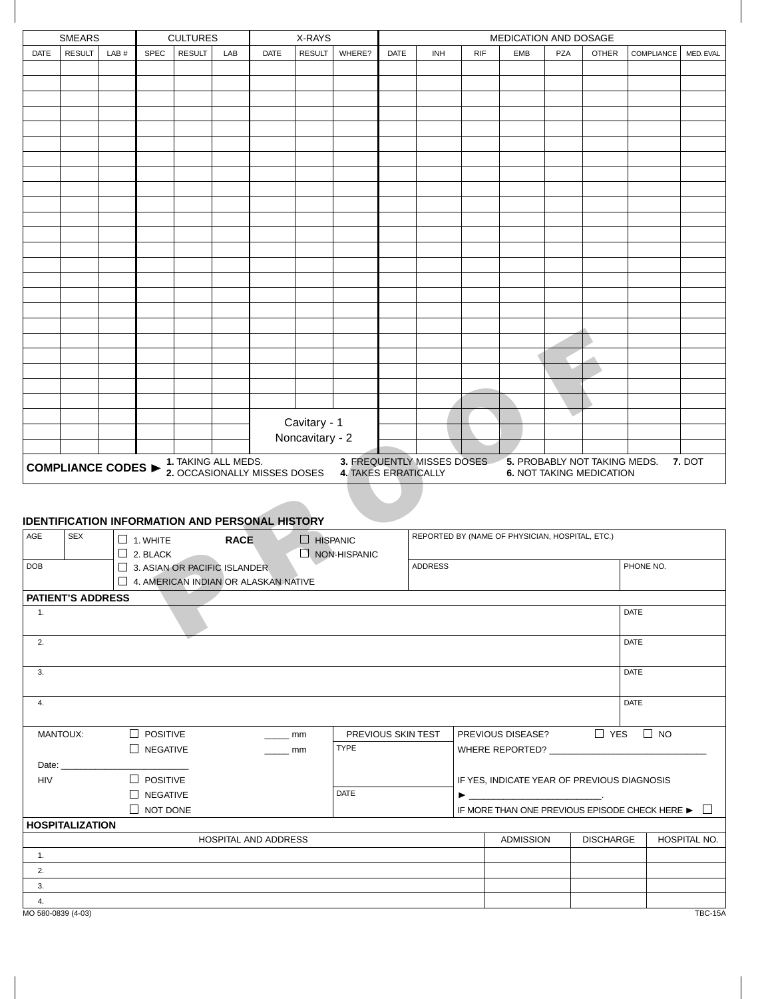<span id="page-12-0"></span>

| <b>SMEARS</b><br><b>CULTURES</b><br>X-RAYS<br>MEDICATION AND DOSAGE<br><b>SPEC</b><br><b>DATE</b><br>DATE<br>INH<br><b>RIF</b><br><b>EMB</b><br>PZA<br>COMPLIANCE |                                                                    |       |                 |                     |             |                                                        |                 |                      |              |                                                 |           |                              |  |                                 |      |        |
|-------------------------------------------------------------------------------------------------------------------------------------------------------------------|--------------------------------------------------------------------|-------|-----------------|---------------------|-------------|--------------------------------------------------------|-----------------|----------------------|--------------|-------------------------------------------------|-----------|------------------------------|--|---------------------------------|------|--------|
| DATE                                                                                                                                                              | <b>RESULT</b>                                                      | LAB # |                 | <b>RESULT</b>       | LAB         |                                                        | <b>RESULT</b>   | WHERE?               | <b>OTHER</b> |                                                 | MED. EVAL |                              |  |                                 |      |        |
|                                                                                                                                                                   |                                                                    |       |                 |                     |             |                                                        |                 |                      |              |                                                 |           |                              |  |                                 |      |        |
|                                                                                                                                                                   |                                                                    |       |                 |                     |             |                                                        |                 |                      |              |                                                 |           |                              |  |                                 |      |        |
|                                                                                                                                                                   |                                                                    |       |                 |                     |             |                                                        |                 |                      |              |                                                 |           |                              |  |                                 |      |        |
|                                                                                                                                                                   |                                                                    |       |                 |                     |             |                                                        |                 |                      |              |                                                 |           |                              |  |                                 |      |        |
|                                                                                                                                                                   |                                                                    |       |                 |                     |             |                                                        |                 |                      |              |                                                 |           |                              |  |                                 |      |        |
|                                                                                                                                                                   |                                                                    |       |                 |                     |             |                                                        |                 |                      |              |                                                 |           |                              |  |                                 |      |        |
|                                                                                                                                                                   |                                                                    |       |                 |                     |             |                                                        |                 |                      |              |                                                 |           |                              |  |                                 |      |        |
|                                                                                                                                                                   |                                                                    |       |                 |                     |             |                                                        |                 |                      |              |                                                 |           |                              |  |                                 |      |        |
|                                                                                                                                                                   |                                                                    |       |                 |                     |             |                                                        |                 |                      |              |                                                 |           |                              |  |                                 |      |        |
|                                                                                                                                                                   |                                                                    |       |                 |                     |             |                                                        |                 |                      |              |                                                 |           |                              |  |                                 |      |        |
|                                                                                                                                                                   |                                                                    |       |                 |                     |             |                                                        |                 |                      |              |                                                 |           |                              |  |                                 |      |        |
|                                                                                                                                                                   |                                                                    |       |                 |                     |             |                                                        |                 |                      |              |                                                 |           |                              |  |                                 |      |        |
|                                                                                                                                                                   |                                                                    |       |                 |                     |             |                                                        |                 |                      |              |                                                 |           |                              |  |                                 |      |        |
|                                                                                                                                                                   |                                                                    |       |                 |                     |             |                                                        |                 |                      |              |                                                 |           |                              |  |                                 |      |        |
|                                                                                                                                                                   |                                                                    |       |                 |                     |             |                                                        |                 |                      |              |                                                 |           |                              |  |                                 |      |        |
|                                                                                                                                                                   |                                                                    |       |                 |                     |             |                                                        |                 |                      |              |                                                 |           |                              |  |                                 |      |        |
|                                                                                                                                                                   |                                                                    |       |                 |                     |             |                                                        |                 |                      |              |                                                 |           |                              |  |                                 |      |        |
|                                                                                                                                                                   |                                                                    |       |                 |                     |             |                                                        |                 |                      |              |                                                 |           |                              |  |                                 |      |        |
|                                                                                                                                                                   |                                                                    |       |                 |                     |             |                                                        |                 |                      |              |                                                 |           |                              |  |                                 |      |        |
|                                                                                                                                                                   |                                                                    |       |                 |                     |             |                                                        |                 |                      |              |                                                 |           |                              |  |                                 |      |        |
|                                                                                                                                                                   |                                                                    |       |                 |                     |             |                                                        |                 |                      |              |                                                 |           |                              |  |                                 |      |        |
|                                                                                                                                                                   |                                                                    |       |                 |                     |             |                                                        |                 |                      |              |                                                 |           |                              |  |                                 |      |        |
|                                                                                                                                                                   |                                                                    |       |                 |                     |             |                                                        |                 |                      |              |                                                 |           |                              |  |                                 |      |        |
|                                                                                                                                                                   |                                                                    |       |                 |                     |             |                                                        | Cavitary - 1    |                      |              |                                                 |           |                              |  |                                 |      |        |
|                                                                                                                                                                   |                                                                    |       |                 |                     |             |                                                        | Noncavitary - 2 |                      |              |                                                 |           |                              |  |                                 |      |        |
|                                                                                                                                                                   | <b>COMPLIANCE CODES ▶</b>                                          |       |                 | 1. TAKING ALL MEDS. |             | 2. OCCASIONALLY MISSES DOSES                           |                 | 4. TAKES ERRATICALLY |              | 3. FREQUENTLY MISSES DOSES                      |           | 5. PROBABLY NOT TAKING MEDS. |  | <b>6. NOT TAKING MEDICATION</b> |      | 7. DOT |
|                                                                                                                                                                   |                                                                    |       |                 |                     |             |                                                        |                 |                      |              |                                                 |           |                              |  |                                 |      |        |
|                                                                                                                                                                   |                                                                    |       |                 |                     |             | <b>IDENTIFICATION INFORMATION AND PERSONAL HISTORY</b> |                 |                      |              |                                                 |           |                              |  |                                 |      |        |
| AGE                                                                                                                                                               | <b>SEX</b>                                                         |       | $\Box$ 1. WHITE |                     | <b>RACE</b> |                                                        | $\Box$ HISPANIC |                      |              | REPORTED BY (NAME OF PHYSICIAN, HOSPITAL, ETC.) |           |                              |  |                                 |      |        |
|                                                                                                                                                                   |                                                                    |       | $\Box$ 2. BLACK |                     |             |                                                        |                 | $\Box$ NON-HISPANIC  |              |                                                 |           |                              |  |                                 |      |        |
| <b>DOB</b>                                                                                                                                                        | PHONE NO.<br><b>ADDRESS</b><br>$\Box$ 3. ASIAN OR PACIFIC ISLANDER |       |                 |                     |             |                                                        |                 |                      |              |                                                 |           |                              |  |                                 |      |        |
|                                                                                                                                                                   |                                                                    |       |                 |                     |             | $\Box$ 4. AMERICAN INDIAN OR ALASKAN NATIVE            |                 |                      |              |                                                 |           |                              |  |                                 |      |        |
|                                                                                                                                                                   | <b>PATIENT'S ADDRESS</b>                                           |       |                 |                     |             |                                                        |                 |                      |              |                                                 |           |                              |  |                                 |      |        |
| $\mathbf{1}$ .                                                                                                                                                    |                                                                    |       |                 |                     |             |                                                        |                 |                      |              |                                                 |           |                              |  |                                 | DATE |        |
|                                                                                                                                                                   |                                                                    |       |                 |                     |             |                                                        |                 |                      |              |                                                 |           |                              |  |                                 |      |        |
|                                                                                                                                                                   |                                                                    |       |                 |                     |             |                                                        |                 |                      |              |                                                 |           |                              |  |                                 |      |        |

#### **IDENTIFICATION INFORMATION AND PERSONAL HISTORY**

| AGE                | <b>SEX</b>               | $\Box$ 1. WHITE<br>$\Box$ 2. BLACK                                          | <b>RACE</b>                 | $\Box$ HISPANIC<br>$\Box$ NON-HISPANIC |                    | REPORTED BY (NAME OF PHYSICIAN, HOSPITAL, ETC.)                         |                  |              |
|--------------------|--------------------------|-----------------------------------------------------------------------------|-----------------------------|----------------------------------------|--------------------|-------------------------------------------------------------------------|------------------|--------------|
| <b>DOB</b>         |                          | $\Box$ 3. ASIAN OR PACIFIC ISLANDER<br>4. AMERICAN INDIAN OR ALASKAN NATIVE |                             |                                        | <b>ADDRESS</b>     |                                                                         |                  | PHONE NO.    |
|                    | <b>PATIENT'S ADDRESS</b> |                                                                             |                             |                                        |                    |                                                                         |                  |              |
| 1.                 |                          |                                                                             |                             |                                        |                    |                                                                         | <b>DATE</b>      |              |
| 2.                 |                          |                                                                             |                             |                                        |                    |                                                                         | <b>DATE</b>      |              |
| 3.                 |                          |                                                                             |                             |                                        |                    |                                                                         | <b>DATE</b>      |              |
| 4.                 |                          |                                                                             |                             |                                        |                    |                                                                         | <b>DATE</b>      |              |
|                    | <b>MANTOUX:</b>          | $\Box$ POSITIVE                                                             |                             | mm                                     | PREVIOUS SKIN TEST | PREVIOUS DISEASE? $\Box$ YES $\Box$ NO                                  |                  |              |
|                    |                          | $\Box$ NEGATIVE                                                             | mm                          | <b>TYPE</b>                            |                    | WHERE REPORTED?                                                         |                  |              |
|                    | Date: $\qquad \qquad$    |                                                                             |                             |                                        |                    |                                                                         |                  |              |
| <b>HIV</b>         |                          | $\Box$ POSITIVE                                                             |                             |                                        |                    | IF YES, INDICATE YEAR OF PREVIOUS DIAGNOSIS                             |                  |              |
|                    |                          | $\Box$ NEGATIVE                                                             |                             | <b>DATE</b>                            |                    | $\blacktriangleright$ $\frac{1}{\sqrt{2}}$                              |                  |              |
|                    |                          | $\Box$ NOT DONE                                                             |                             |                                        |                    | IF MORE THAN ONE PREVIOUS EPISODE CHECK HERE $\blacktriangleright \Box$ |                  |              |
|                    | <b>HOSPITALIZATION</b>   |                                                                             |                             |                                        |                    |                                                                         |                  |              |
|                    |                          |                                                                             | <b>HOSPITAL AND ADDRESS</b> |                                        |                    | <b>ADMISSION</b>                                                        | <b>DISCHARGE</b> | HOSPITAL NO. |
| 1.                 |                          |                                                                             |                             |                                        |                    |                                                                         |                  |              |
| 2.                 |                          |                                                                             |                             |                                        |                    |                                                                         |                  |              |
| 3.                 |                          |                                                                             |                             |                                        |                    |                                                                         |                  |              |
| 4.                 |                          |                                                                             |                             |                                        |                    |                                                                         |                  |              |
| MO 580-0839 (4-03) |                          |                                                                             |                             |                                        |                    |                                                                         |                  | TBC-15A      |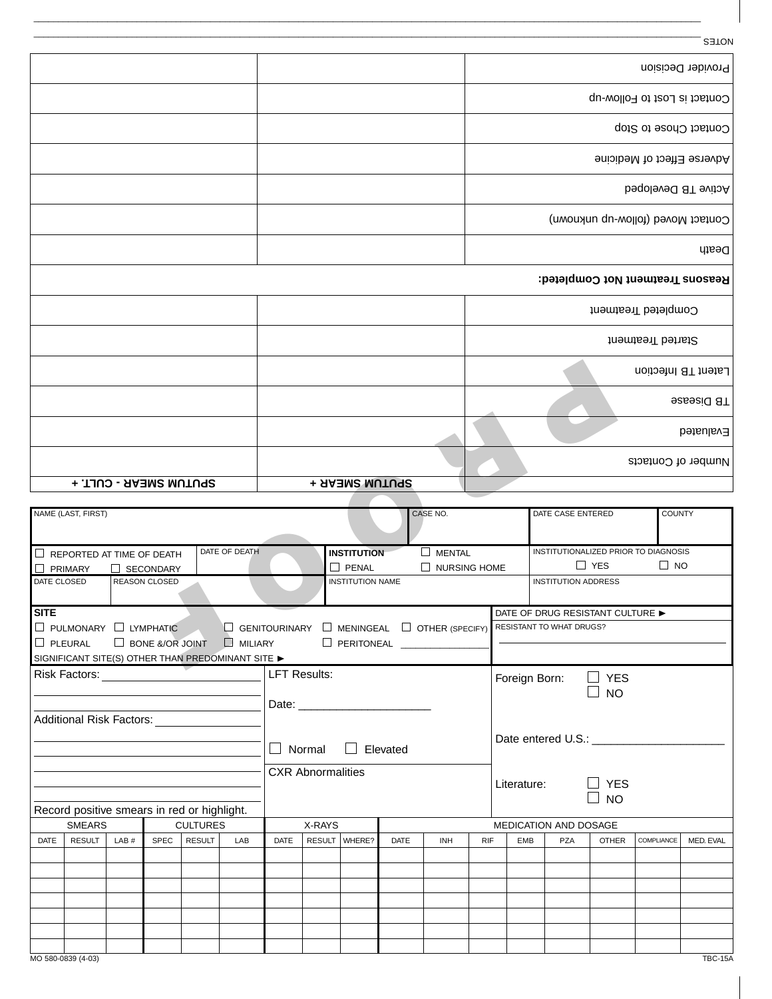|                                                         |                                         |                     |                                      | <b>SETON</b>                      |
|---------------------------------------------------------|-----------------------------------------|---------------------|--------------------------------------|-----------------------------------|
|                                                         |                                         |                     |                                      | Provider Decision                 |
|                                                         |                                         |                     |                                      | Contact is Lost to Follow-up      |
|                                                         |                                         |                     |                                      | Contact Chose to Stop             |
|                                                         |                                         |                     |                                      | Adverse Effect of Medicine        |
|                                                         |                                         |                     |                                      | beqoleved 8T evitoA               |
|                                                         |                                         |                     |                                      | Contact Moved (follow-up unknown) |
|                                                         |                                         |                     |                                      | Death                             |
|                                                         |                                         |                     | Reasons Treatment Not Completed:     |                                   |
|                                                         |                                         |                     |                                      | Completed Treatment               |
|                                                         |                                         |                     |                                      | Started Treatment                 |
|                                                         |                                         |                     |                                      | Latent TB Infection               |
|                                                         |                                         |                     |                                      | <b>B</b> Disease                  |
|                                                         |                                         |                     |                                      | Evaluated                         |
|                                                         |                                         |                     |                                      | Number of Contacts                |
| SPUTUM SMEAR - CULT. +                                  | <b>SPUTUM SMEAR +</b>                   |                     |                                      |                                   |
|                                                         |                                         |                     |                                      |                                   |
| NAME (LAST, FIRST)                                      |                                         | CASE NO.            | DATE CASE ENTERED                    | COUNTY                            |
| DATE OF DEATH<br>$\Box$ REPORTED AT TIME OF DEATH       | <b>INSTITUTION</b>                      | $\Box$ MENTAL       | INSTITUTIONALIZED PRIOR TO DIAGNOSIS |                                   |
| $\Box$ PRIMARY<br>$\Box$ SECONDARY                      | $\square$ PENAL                         | $\Box$ NURSING HOME | $\Box$ YES                           | $\Box$ NO                         |
| DATE CLOSED<br><b>REASON CLOSED</b>                     | <b>INSTITUTION NAME</b>                 |                     | <b>INSTITUTION ADDRESS</b>           |                                   |
| <b>SITE</b>                                             |                                         |                     | DATE OF DRUG RESISTANT CULTURE ▶     |                                   |
| D PULMONARY D LYMPHATIC<br>GENITOURINARY                | $\Box$ MENINGEAL $\Box$ OTHER (SPECIFY) |                     | RESISTANT TO WHAT DRUGS?             |                                   |
| $\Box$ PLEURAL<br><b>BONE &amp;/OR JOINT</b><br>MILIARY | $\Box$ PERITONEAL $\_\_$                |                     |                                      |                                   |
| SIGNIFICANT SITE(S) OTHER THAN PREDOMINANT SITE >       |                                         |                     |                                      |                                   |
| Diele Feeterer                                          | $\Box$ $\Box$ $\Box$ $\Box$             |                     |                                      |                                   |

\_\_\_\_\_\_\_\_\_\_\_\_\_\_\_\_\_\_\_\_\_\_\_\_\_\_\_\_\_\_\_\_\_\_\_\_\_\_\_\_\_\_\_\_\_\_\_\_\_\_\_\_\_\_\_\_\_\_\_\_\_\_\_\_\_\_\_\_\_\_\_\_\_\_\_\_\_\_\_\_\_\_\_\_\_\_\_\_\_\_\_\_\_\_\_\_\_\_\_\_\_\_\_\_\_\_\_\_\_\_\_\_\_\_\_\_\_\_\_\_\_\_\_\_\_\_\_\_\_\_\_\_\_\_\_\_ NOTES

|                                     | $\Box$ REPORTED AT TIME OF DEATH                                                                                                                                                                                              |      |                  |                 | DATE OF DEATH                         |                          |                                                                   | <b>INSTITUTION</b> |             | $\Box$ MENTAL                                                                                                           |            |                              | INSTITUTIONALIZED PRIOR TO DIAGNOSIS |              |                   |                |  |
|-------------------------------------|-------------------------------------------------------------------------------------------------------------------------------------------------------------------------------------------------------------------------------|------|------------------|-----------------|---------------------------------------|--------------------------|-------------------------------------------------------------------|--------------------|-------------|-------------------------------------------------------------------------------------------------------------------------|------------|------------------------------|--------------------------------------|--------------|-------------------|----------------|--|
|                                     | $\Box$ PRIMARY                                                                                                                                                                                                                |      | $\Box$ SECONDARY |                 |                                       |                          |                                                                   | $\Box$ PENAL       |             | $\Box$ NURSING HOME                                                                                                     |            |                              | $\Box$ YES<br>$\Box$ NO              |              |                   |                |  |
| <b>REASON CLOSED</b><br>DATE CLOSED |                                                                                                                                                                                                                               |      |                  |                 |                                       |                          | <b>INSTITUTION NAME</b>                                           |                    |             |                                                                                                                         |            | <b>INSTITUTION ADDRESS</b>   |                                      |              |                   |                |  |
|                                     |                                                                                                                                                                                                                               |      |                  |                 |                                       |                          |                                                                   |                    |             |                                                                                                                         |            |                              |                                      |              |                   |                |  |
| <b>SITE</b>                         |                                                                                                                                                                                                                               |      |                  |                 |                                       |                          |                                                                   |                    |             |                                                                                                                         |            |                              | DATE OF DRUG RESISTANT CULTURE ▶     |              |                   |                |  |
|                                     |                                                                                                                                                                                                                               |      |                  |                 |                                       |                          |                                                                   |                    |             | $\Box$ PULMONARY $\Box$ LYMPHATIC $\Box$ GENITOURINARY $\Box$ MENINGEAL $\Box$ OTHER (SPECIFY) RESISTANT TO WHAT DRUGS? |            |                              |                                      |              |                   |                |  |
|                                     | $\Box$ PLEURAL                                                                                                                                                                                                                |      |                  |                 | $\Box$ BONE &/OR JOINT $\Box$ MILIARY |                          |                                                                   |                    |             | PERITONEAL ____________                                                                                                 |            |                              |                                      |              |                   |                |  |
|                                     | SIGNIFICANT SITE(S) OTHER THAN PREDOMINANT SITE >                                                                                                                                                                             |      |                  |                 |                                       |                          |                                                                   |                    |             |                                                                                                                         |            |                              |                                      |              |                   |                |  |
|                                     | Risk Factors: Williams and Security and Security and Security and Security and Security and Security and Security and Security and Security and Security and Security and Security and Security and Security and Security and |      |                  |                 |                                       | <b>LFT Results:</b>      |                                                                   |                    |             |                                                                                                                         |            | Foreign Born:                |                                      | $\Box$ YES   |                   |                |  |
|                                     |                                                                                                                                                                                                                               |      |                  |                 |                                       |                          |                                                                   |                    |             |                                                                                                                         |            |                              |                                      | <b>NO</b>    |                   |                |  |
|                                     |                                                                                                                                                                                                                               |      |                  |                 |                                       |                          |                                                                   |                    |             |                                                                                                                         |            |                              |                                      |              |                   |                |  |
|                                     | <b>Additional Risk Factors:</b>                                                                                                                                                                                               |      |                  |                 |                                       |                          |                                                                   |                    |             |                                                                                                                         |            |                              |                                      |              |                   |                |  |
|                                     |                                                                                                                                                                                                                               |      |                  |                 |                                       |                          | Date entered U.S.:<br>$\Box$ Elevated<br>$\blacksquare$<br>Normal |                    |             |                                                                                                                         |            |                              |                                      |              |                   |                |  |
|                                     |                                                                                                                                                                                                                               |      |                  |                 |                                       |                          |                                                                   |                    |             |                                                                                                                         |            |                              |                                      |              |                   |                |  |
|                                     |                                                                                                                                                                                                                               |      |                  |                 |                                       | <b>CXR Abnormalities</b> |                                                                   |                    |             |                                                                                                                         |            |                              |                                      |              |                   |                |  |
|                                     |                                                                                                                                                                                                                               |      |                  |                 |                                       |                          |                                                                   |                    |             |                                                                                                                         |            | $\Box$ YES<br>Literature:    |                                      |              |                   |                |  |
|                                     | Record positive smears in red or highlight.                                                                                                                                                                                   |      |                  |                 |                                       |                          |                                                                   |                    |             |                                                                                                                         |            |                              |                                      | <b>NO</b>    |                   |                |  |
|                                     | <b>SMEARS</b>                                                                                                                                                                                                                 |      |                  | <b>CULTURES</b> |                                       | X-RAYS                   |                                                                   |                    |             |                                                                                                                         |            | <b>MEDICATION AND DOSAGE</b> |                                      |              |                   |                |  |
| <b>DATE</b>                         | <b>RESULT</b>                                                                                                                                                                                                                 | LAB# | SPEC             | <b>RESULT</b>   | LAB                                   | <b>DATE</b>              |                                                                   | RESULT WHERE?      | <b>DATE</b> | <b>INH</b>                                                                                                              | <b>RIF</b> | <b>EMB</b>                   | <b>PZA</b>                           | <b>OTHER</b> | <b>COMPLIANCE</b> | MED. EVAL      |  |
|                                     |                                                                                                                                                                                                                               |      |                  |                 |                                       |                          |                                                                   |                    |             |                                                                                                                         |            |                              |                                      |              |                   |                |  |
|                                     |                                                                                                                                                                                                                               |      |                  |                 |                                       |                          |                                                                   |                    |             |                                                                                                                         |            |                              |                                      |              |                   |                |  |
|                                     |                                                                                                                                                                                                                               |      |                  |                 |                                       |                          |                                                                   |                    |             |                                                                                                                         |            |                              |                                      |              |                   |                |  |
|                                     |                                                                                                                                                                                                                               |      |                  |                 |                                       |                          |                                                                   |                    |             |                                                                                                                         |            |                              |                                      |              |                   |                |  |
|                                     |                                                                                                                                                                                                                               |      |                  |                 |                                       |                          |                                                                   |                    |             |                                                                                                                         |            |                              |                                      |              |                   |                |  |
|                                     |                                                                                                                                                                                                                               |      |                  |                 |                                       |                          |                                                                   |                    |             |                                                                                                                         |            |                              |                                      |              |                   |                |  |
|                                     |                                                                                                                                                                                                                               |      |                  |                 |                                       |                          |                                                                   |                    |             |                                                                                                                         |            |                              |                                      |              |                   |                |  |
|                                     | MO 580-0839 (4-03)                                                                                                                                                                                                            |      |                  |                 |                                       |                          |                                                                   |                    |             |                                                                                                                         |            |                              |                                      |              |                   | <b>TBC-15A</b> |  |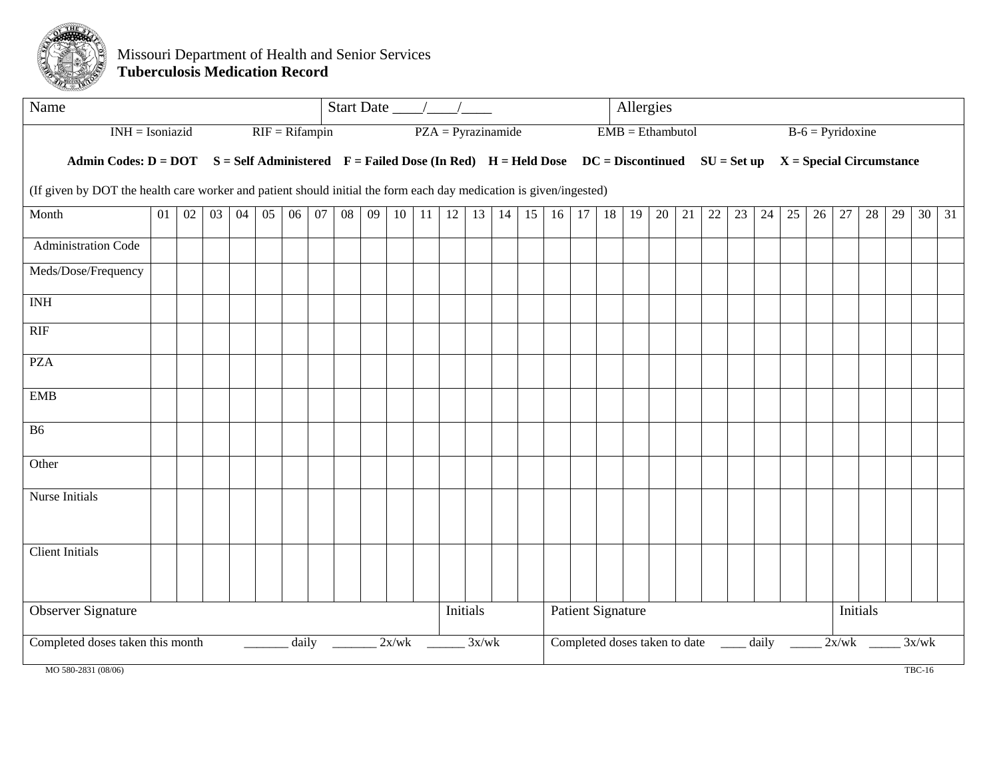<span id="page-14-0"></span>

#### Missouri Department of Health and Senior Services **Tuberculosis Medication Record**

| Name                                                                                                               |    |    |    | Start Date $\_\_\_\_\_\_\_\_\_\_\$ |    |                  |    |    |    | Allergies |    |                      |       |    |    |    |    |                          |    |    |    |                                      |    |       |                                                                                                                                                          |                    |       |          |    |       |    |
|--------------------------------------------------------------------------------------------------------------------|----|----|----|------------------------------------|----|------------------|----|----|----|-----------|----|----------------------|-------|----|----|----|----|--------------------------|----|----|----|--------------------------------------|----|-------|----------------------------------------------------------------------------------------------------------------------------------------------------------|--------------------|-------|----------|----|-------|----|
| $INH = Isoniazid$                                                                                                  |    |    |    |                                    |    | $RIF = Rifampin$ |    |    |    |           |    | $PZA = Pyrazinamide$ |       |    |    |    |    | $EMB = Ethambutol$       |    |    |    |                                      |    |       |                                                                                                                                                          | $B-6 = Pyridoxine$ |       |          |    |       |    |
|                                                                                                                    |    |    |    |                                    |    |                  |    |    |    |           |    |                      |       |    |    |    |    |                          |    |    |    |                                      |    |       | Admin Codes: $D = DOT$ $S = Self$ Administered $F = F$ ailed Dose (In Red) $H = H$ eld Dose $DC = Discontinued$ $SU = Set$ up $X = Special$ Circumstance |                    |       |          |    |       |    |
| (If given by DOT the health care worker and patient should initial the form each day medication is given/ingested) |    |    |    |                                    |    |                  |    |    |    |           |    |                      |       |    |    |    |    |                          |    |    |    |                                      |    |       |                                                                                                                                                          |                    |       |          |    |       |    |
| Month                                                                                                              | 01 | 02 | 03 | 04                                 | 05 | 06               | 07 | 08 | 09 | 10        | 11 | 12                   | 13    | 14 | 15 | 16 | 17 | 18                       | 19 | 20 | 21 | $22\,$                               | 23 | 24    | 25                                                                                                                                                       | 26                 | 27    | 28       | 29 | 30    | 31 |
| Administration Code                                                                                                |    |    |    |                                    |    |                  |    |    |    |           |    |                      |       |    |    |    |    |                          |    |    |    |                                      |    |       |                                                                                                                                                          |                    |       |          |    |       |    |
| Meds/Dose/Frequency                                                                                                |    |    |    |                                    |    |                  |    |    |    |           |    |                      |       |    |    |    |    |                          |    |    |    |                                      |    |       |                                                                                                                                                          |                    |       |          |    |       |    |
| <b>INH</b>                                                                                                         |    |    |    |                                    |    |                  |    |    |    |           |    |                      |       |    |    |    |    |                          |    |    |    |                                      |    |       |                                                                                                                                                          |                    |       |          |    |       |    |
| RIF                                                                                                                |    |    |    |                                    |    |                  |    |    |    |           |    |                      |       |    |    |    |    |                          |    |    |    |                                      |    |       |                                                                                                                                                          |                    |       |          |    |       |    |
| <b>PZA</b>                                                                                                         |    |    |    |                                    |    |                  |    |    |    |           |    |                      |       |    |    |    |    |                          |    |    |    |                                      |    |       |                                                                                                                                                          |                    |       |          |    |       |    |
| <b>EMB</b>                                                                                                         |    |    |    |                                    |    |                  |    |    |    |           |    |                      |       |    |    |    |    |                          |    |    |    |                                      |    |       |                                                                                                                                                          |                    |       |          |    |       |    |
| <b>B6</b>                                                                                                          |    |    |    |                                    |    |                  |    |    |    |           |    |                      |       |    |    |    |    |                          |    |    |    |                                      |    |       |                                                                                                                                                          |                    |       |          |    |       |    |
| Other                                                                                                              |    |    |    |                                    |    |                  |    |    |    |           |    |                      |       |    |    |    |    |                          |    |    |    |                                      |    |       |                                                                                                                                                          |                    |       |          |    |       |    |
| Nurse Initials                                                                                                     |    |    |    |                                    |    |                  |    |    |    |           |    |                      |       |    |    |    |    |                          |    |    |    |                                      |    |       |                                                                                                                                                          |                    |       |          |    |       |    |
| <b>Client Initials</b>                                                                                             |    |    |    |                                    |    |                  |    |    |    |           |    |                      |       |    |    |    |    |                          |    |    |    |                                      |    |       |                                                                                                                                                          |                    |       |          |    |       |    |
| <b>Observer Signature</b>                                                                                          |    |    |    |                                    |    |                  |    |    |    |           |    | Initials             |       |    |    |    |    | <b>Patient Signature</b> |    |    |    |                                      |    |       |                                                                                                                                                          |                    |       | Initials |    |       |    |
| Completed doses taken this month                                                                                   |    |    |    |                                    |    | daily            |    |    |    | 2x/wk     |    |                      | 3x/wk |    |    |    |    |                          |    |    |    | Completed doses taken to date ______ |    | daily |                                                                                                                                                          |                    | 2x/wk |          |    | 3x/wk |    |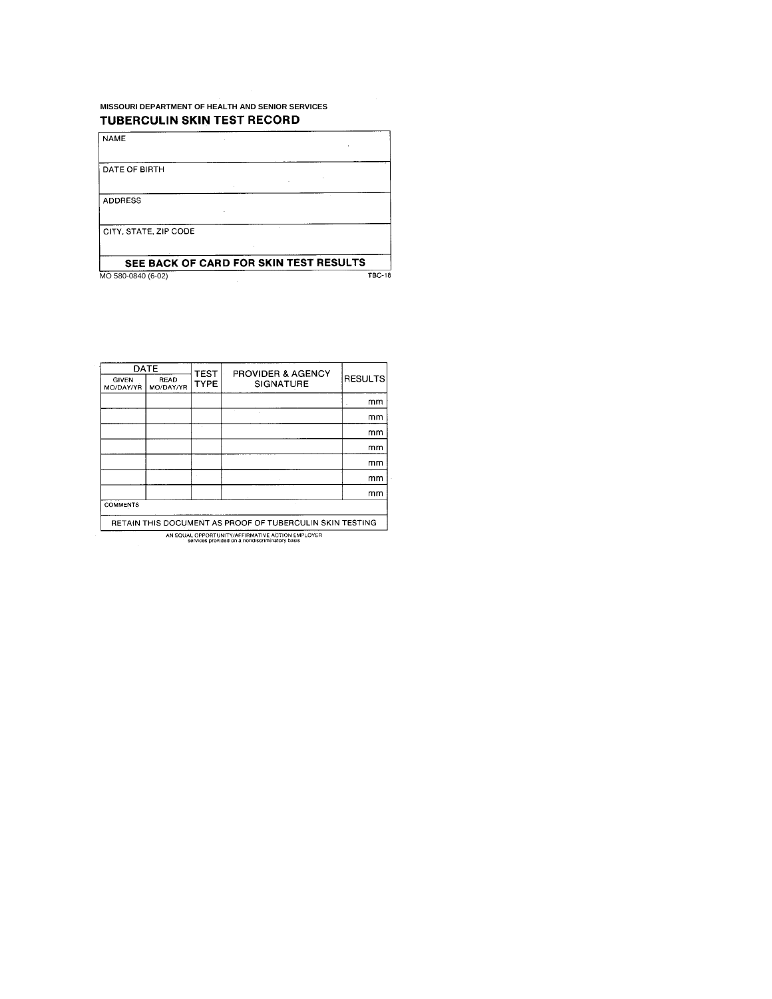#### <span id="page-15-0"></span>**MISSOURI DEPARTMENT OF HEALTH AND SENIOR SERVICES** TUBERCULIN SKIN TEST RECORD

**ADDRESS** 

**NAME** 

DATE OF BIRTH

CITY, STATE, ZIP CODE

#### SEE BACK OF CARD FOR SKIN TEST RESULTS MO 580-0840 (6-02)  $TBC-18$

 $\bar{z}$ 

**DATE** PROVIDER & AGENCY<br>SIGNATURE **TEST** RESULTS GIVEN<br>MO/DAY/YR READ<br>MO/DAY/YR **TYPE**  $\mathsf{mm}$  $mm$  $\mathsf{mm}$  $\mathsf{mm}$  $\mathsf{mm}$  $\mathsf{mm}$  $\mathsf{mm}$ **COMMENTS** RETAIN THIS DOCUMENT AS PROOF OF TUBERCULIN SKIN TESTING

AN EQUAL OPPORTUNITY/AFFIRMATIVE ACTION EMPLOYER<br>services provided on a nondiscriminatory basis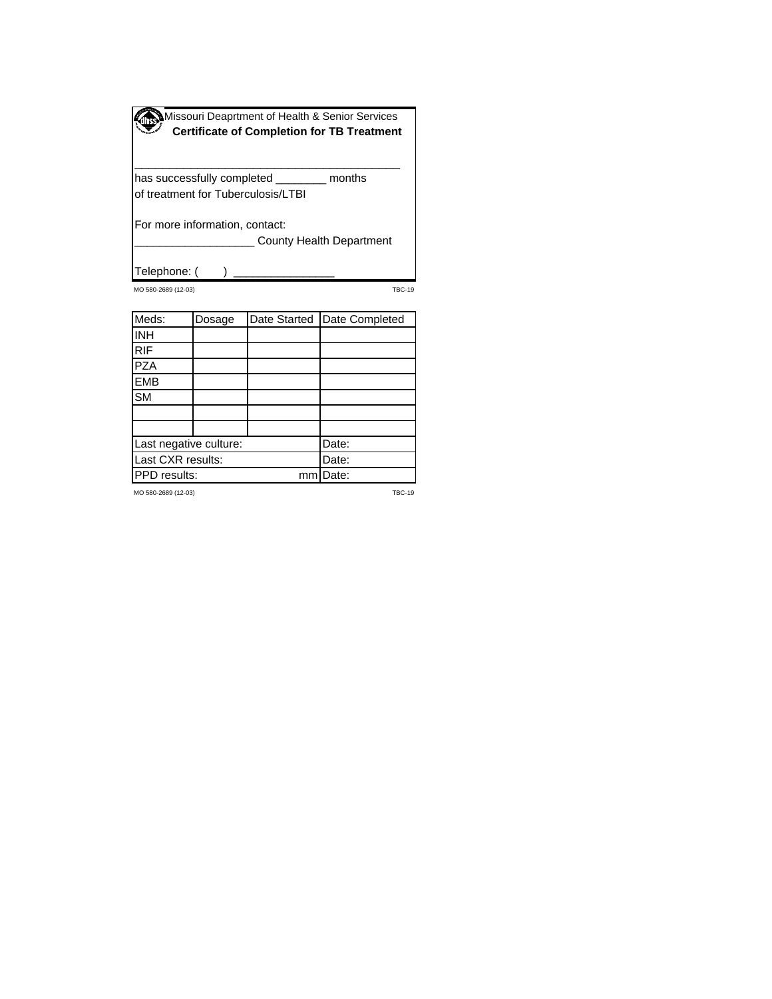<span id="page-16-0"></span>

| Missouri Deaprtment of Health & Senior Services<br>Certificate of Completion for TB Treatment |
|-----------------------------------------------------------------------------------------------|
|                                                                                               |
|                                                                                               |

\_\_\_\_\_\_\_\_\_\_\_\_\_\_\_\_\_\_\_\_\_\_\_\_\_\_\_\_\_\_\_\_\_\_\_\_\_\_

has successfully completed \_\_\_\_\_\_\_\_ months of treatment for Tuberculosis/LTBI

For more information, contact:

**\_\_\_\_\_\_\_\_\_ County Health Department** 

Telephone: ()

MO 580-2689 (12-03) TBC-19

| Meds:                  | Dosage |    | Date Started   Date Completed |
|------------------------|--------|----|-------------------------------|
| <b>INH</b>             |        |    |                               |
| <b>RIF</b>             |        |    |                               |
| <b>PZA</b>             |        |    |                               |
| <b>EMB</b>             |        |    |                               |
| <b>SM</b>              |        |    |                               |
|                        |        |    |                               |
|                        |        |    |                               |
| Last negative culture: |        |    | Date:                         |
| Last CXR results:      |        |    | Date:                         |
| PPD results:           |        | mm | Date:                         |

MO 580-2689 (12-03) TBC-19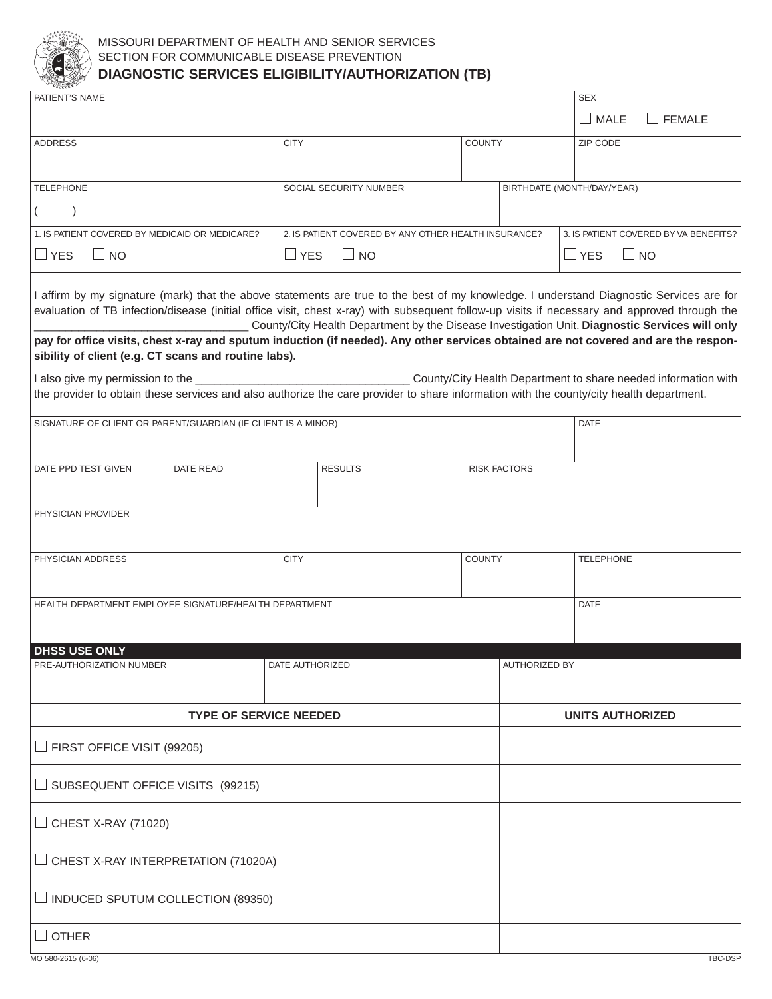<span id="page-17-0"></span>

#### MISSOURI DEPARTMENT OF HEALTH AND SENIOR SERVICES SECTION FOR COMMUNICABLE DISEASE PREVENTION **DIAGNOSTIC SERVICES ELIGIBILITY/AUTHORIZATION (TB)**

| PATIENT'S NAME                                                                                                                                                                                                                                                                                                                                                                                                                                                                                                                                                                                                                       |                               |                 |                                                                                                |               |                            | <b>SEX</b>              |                                       |  |  |  |
|--------------------------------------------------------------------------------------------------------------------------------------------------------------------------------------------------------------------------------------------------------------------------------------------------------------------------------------------------------------------------------------------------------------------------------------------------------------------------------------------------------------------------------------------------------------------------------------------------------------------------------------|-------------------------------|-----------------|------------------------------------------------------------------------------------------------|---------------|----------------------------|-------------------------|---------------------------------------|--|--|--|
|                                                                                                                                                                                                                                                                                                                                                                                                                                                                                                                                                                                                                                      |                               |                 |                                                                                                |               |                            | $\Box$ MALE             | $\Box$ FEMALE                         |  |  |  |
| <b>ADDRESS</b>                                                                                                                                                                                                                                                                                                                                                                                                                                                                                                                                                                                                                       |                               | <b>CITY</b>     |                                                                                                | <b>COUNTY</b> |                            | ZIP CODE                |                                       |  |  |  |
|                                                                                                                                                                                                                                                                                                                                                                                                                                                                                                                                                                                                                                      |                               |                 |                                                                                                |               |                            |                         |                                       |  |  |  |
| <b>TELEPHONE</b>                                                                                                                                                                                                                                                                                                                                                                                                                                                                                                                                                                                                                     |                               |                 | SOCIAL SECURITY NUMBER                                                                         |               | BIRTHDATE (MONTH/DAY/YEAR) |                         |                                       |  |  |  |
|                                                                                                                                                                                                                                                                                                                                                                                                                                                                                                                                                                                                                                      |                               |                 |                                                                                                |               |                            |                         |                                       |  |  |  |
| 1. IS PATIENT COVERED BY MEDICAID OR MEDICARE?                                                                                                                                                                                                                                                                                                                                                                                                                                                                                                                                                                                       |                               |                 | 2. IS PATIENT COVERED BY ANY OTHER HEALTH INSURANCE?                                           |               |                            |                         | 3. IS PATIENT COVERED BY VA BENEFITS? |  |  |  |
| $\Box$ YES<br>$\Box$ NO                                                                                                                                                                                                                                                                                                                                                                                                                                                                                                                                                                                                              |                               | $\Box$ YES      | $\Box$ NO                                                                                      |               | $\Box$ YES<br>$\Box$ NO    |                         |                                       |  |  |  |
| I affirm by my signature (mark) that the above statements are true to the best of my knowledge. I understand Diagnostic Services are for<br>evaluation of TB infection/disease (initial office visit, chest x-ray) with subsequent follow-up visits if necessary and approved through the<br>pay for office visits, chest x-ray and sputum induction (if needed). Any other services obtained are not covered and are the respon-<br>sibility of client (e.g. CT scans and routine labs).<br>the provider to obtain these services and also authorize the care provider to share information with the county/city health department. |                               |                 | County/City Health Department by the Disease Investigation Unit. Diagnostic Services will only |               |                            |                         |                                       |  |  |  |
|                                                                                                                                                                                                                                                                                                                                                                                                                                                                                                                                                                                                                                      |                               |                 |                                                                                                |               |                            |                         |                                       |  |  |  |
| SIGNATURE OF CLIENT OR PARENT/GUARDIAN (IF CLIENT IS A MINOR)                                                                                                                                                                                                                                                                                                                                                                                                                                                                                                                                                                        |                               |                 |                                                                                                |               |                            | <b>DATE</b>             |                                       |  |  |  |
|                                                                                                                                                                                                                                                                                                                                                                                                                                                                                                                                                                                                                                      |                               |                 |                                                                                                |               |                            |                         |                                       |  |  |  |
| DATE PPD TEST GIVEN                                                                                                                                                                                                                                                                                                                                                                                                                                                                                                                                                                                                                  | DATE READ                     |                 | <b>RESULTS</b>                                                                                 |               | <b>RISK FACTORS</b>        |                         |                                       |  |  |  |
| PHYSICIAN PROVIDER                                                                                                                                                                                                                                                                                                                                                                                                                                                                                                                                                                                                                   |                               |                 |                                                                                                |               |                            |                         |                                       |  |  |  |
| PHYSICIAN ADDRESS                                                                                                                                                                                                                                                                                                                                                                                                                                                                                                                                                                                                                    |                               | <b>CITY</b>     |                                                                                                | COUNTY        |                            | <b>TELEPHONE</b>        |                                       |  |  |  |
|                                                                                                                                                                                                                                                                                                                                                                                                                                                                                                                                                                                                                                      |                               |                 |                                                                                                |               |                            |                         |                                       |  |  |  |
| HEALTH DEPARTMENT EMPLOYEE SIGNATURE/HEALTH DEPARTMENT                                                                                                                                                                                                                                                                                                                                                                                                                                                                                                                                                                               |                               |                 |                                                                                                |               |                            | <b>DATE</b>             |                                       |  |  |  |
|                                                                                                                                                                                                                                                                                                                                                                                                                                                                                                                                                                                                                                      |                               |                 |                                                                                                |               |                            |                         |                                       |  |  |  |
| <b>DHSS USE ONLY</b>                                                                                                                                                                                                                                                                                                                                                                                                                                                                                                                                                                                                                 |                               |                 |                                                                                                |               |                            |                         |                                       |  |  |  |
| PRE-AUTHORIZATION NUMBER                                                                                                                                                                                                                                                                                                                                                                                                                                                                                                                                                                                                             |                               | DATE AUTHORIZED |                                                                                                |               | <b>AUTHORIZED BY</b>       |                         |                                       |  |  |  |
|                                                                                                                                                                                                                                                                                                                                                                                                                                                                                                                                                                                                                                      | <b>TYPE OF SERVICE NEEDED</b> |                 |                                                                                                |               |                            | <b>UNITS AUTHORIZED</b> |                                       |  |  |  |
| $\Box$ FIRST OFFICE VISIT (99205)                                                                                                                                                                                                                                                                                                                                                                                                                                                                                                                                                                                                    |                               |                 |                                                                                                |               |                            |                         |                                       |  |  |  |
| $\Box$ SUBSEQUENT OFFICE VISITS (99215)                                                                                                                                                                                                                                                                                                                                                                                                                                                                                                                                                                                              |                               |                 |                                                                                                |               |                            |                         |                                       |  |  |  |
| $\Box$ CHEST X-RAY (71020)                                                                                                                                                                                                                                                                                                                                                                                                                                                                                                                                                                                                           |                               |                 |                                                                                                |               |                            |                         |                                       |  |  |  |
| $\Box$ CHEST X-RAY INTERPRETATION (71020A)                                                                                                                                                                                                                                                                                                                                                                                                                                                                                                                                                                                           |                               |                 |                                                                                                |               |                            |                         |                                       |  |  |  |
| $\Box$ INDUCED SPUTUM COLLECTION (89350)                                                                                                                                                                                                                                                                                                                                                                                                                                                                                                                                                                                             |                               |                 |                                                                                                |               |                            |                         |                                       |  |  |  |
|                                                                                                                                                                                                                                                                                                                                                                                                                                                                                                                                                                                                                                      |                               |                 |                                                                                                |               |                            |                         |                                       |  |  |  |
| $\Box$ other                                                                                                                                                                                                                                                                                                                                                                                                                                                                                                                                                                                                                         |                               |                 |                                                                                                |               |                            |                         |                                       |  |  |  |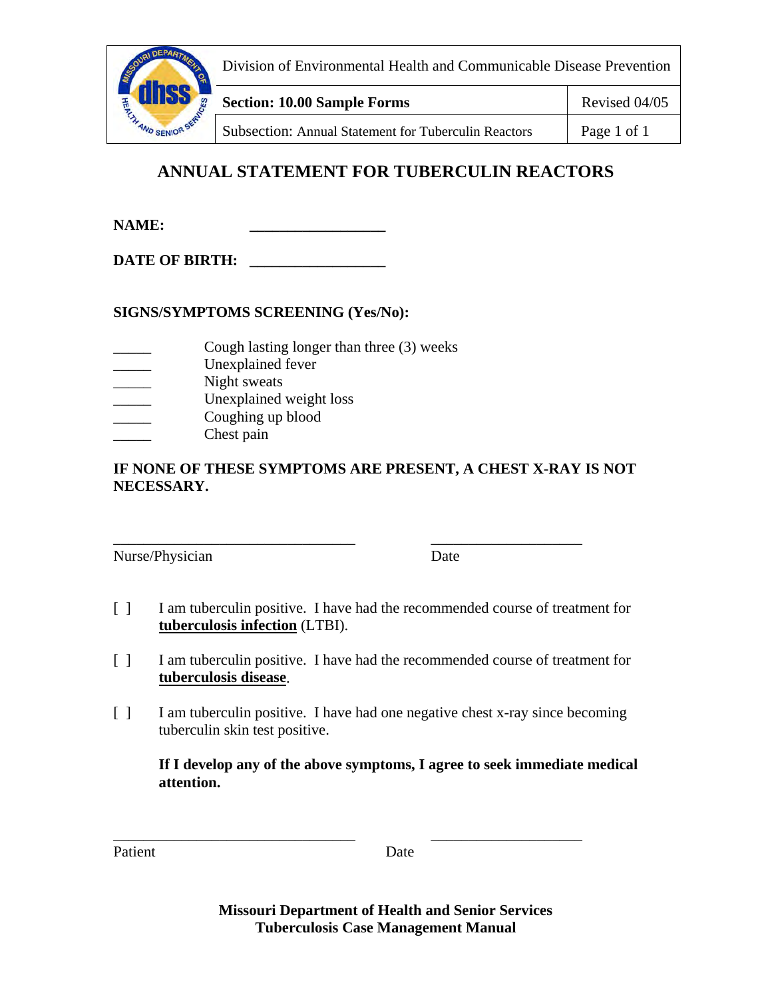<span id="page-18-0"></span>

Division of Environmental Health and Communicable Disease Prevention

**Section: 10.00 Sample Forms** Revised 04/05

Subsection: Annual Statement for Tuberculin Reactors | Page 1 of 1

# **ANNUAL STATEMENT FOR TUBERCULIN REACTORS**

**NAME:** 

DATE OF BIRTH:

**SIGNS/SYMPTOMS SCREENING (Yes/No):** 

- Cough lasting longer than three (3) weeks
- Unexplained fever
- Night sweats
- Unexplained weight loss
- Coughing up blood
- Chest pain

## **IF NONE OF THESE SYMPTOMS ARE PRESENT, A CHEST X-RAY IS NOT NECESSARY.**

\_\_\_\_\_\_\_\_\_\_\_\_\_\_\_\_\_\_\_\_\_\_\_\_\_\_\_\_\_\_\_\_ \_\_\_\_\_\_\_\_\_\_\_\_\_\_\_\_\_\_\_\_ Nurse/Physician Date

- [ ] I am tuberculin positive. I have had the recommended course of treatment for **tuberculosis infection** (LTBI).
- [ ] I am tuberculin positive. I have had the recommended course of treatment for **tuberculosis disease**.
- [ ] I am tuberculin positive. I have had one negative chest x-ray since becoming tuberculin skin test positive.

\_\_\_\_\_\_\_\_\_\_\_\_\_\_\_\_\_\_\_\_\_\_\_\_\_\_\_\_\_\_\_\_ \_\_\_\_\_\_\_\_\_\_\_\_\_\_\_\_\_\_\_\_

**If I develop any of the above symptoms, I agree to seek immediate medical attention.** 

Patient Date

**Missouri Department of Health and Senior Services Tuberculosis Case Management Manual**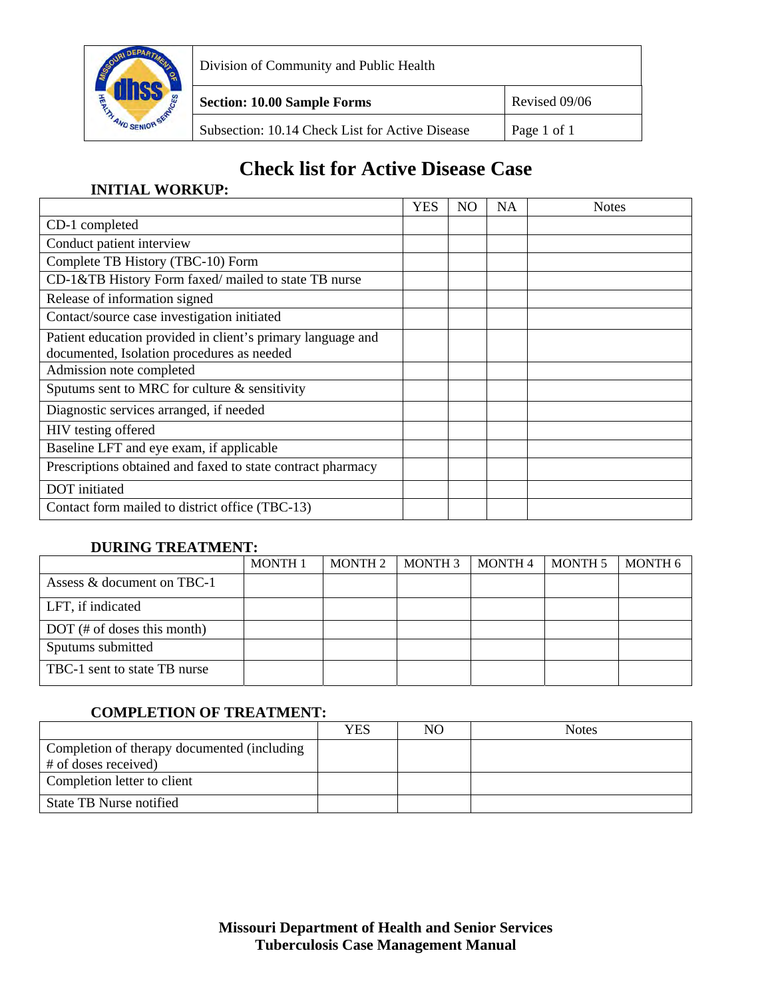<span id="page-19-0"></span>

Division of Community and Public Health

**Section: 10.00 Sample Forms** Revised 09/06

Subsection: 10.14 Check List for Active Disease | Page 1 of 1

## **Check list for Active Disease Case**

## **INITIAL WORKUP:**

|                                                                                                           | <b>YES</b> | NO | <b>NA</b> | <b>Notes</b> |
|-----------------------------------------------------------------------------------------------------------|------------|----|-----------|--------------|
| CD-1 completed                                                                                            |            |    |           |              |
| Conduct patient interview                                                                                 |            |    |           |              |
| Complete TB History (TBC-10) Form                                                                         |            |    |           |              |
| CD-1&TB History Form faxed/mailed to state TB nurse                                                       |            |    |           |              |
| Release of information signed                                                                             |            |    |           |              |
| Contact/source case investigation initiated                                                               |            |    |           |              |
| Patient education provided in client's primary language and<br>documented, Isolation procedures as needed |            |    |           |              |
| Admission note completed                                                                                  |            |    |           |              |
| Sputums sent to MRC for culture $\&$ sensitivity                                                          |            |    |           |              |
| Diagnostic services arranged, if needed                                                                   |            |    |           |              |
| HIV testing offered                                                                                       |            |    |           |              |
| Baseline LFT and eye exam, if applicable                                                                  |            |    |           |              |
| Prescriptions obtained and faxed to state contract pharmacy                                               |            |    |           |              |
| DOT initiated                                                                                             |            |    |           |              |
| Contact form mailed to district office (TBC-13)                                                           |            |    |           |              |

## **DURING TREATMENT:**

|                               | <b>MONTH1</b> | <b>MONTH 2</b> | <b>MONTH 3</b> | <b>MONTH 4</b> | <b>MONTH 5</b> | MONTH 6 |
|-------------------------------|---------------|----------------|----------------|----------------|----------------|---------|
| Assess & document on TBC-1    |               |                |                |                |                |         |
| LFT, if indicated             |               |                |                |                |                |         |
| $DOT$ (# of doses this month) |               |                |                |                |                |         |
| Sputums submitted             |               |                |                |                |                |         |
| TBC-1 sent to state TB nurse  |               |                |                |                |                |         |

## **COMPLETION OF TREATMENT:**

|                                             | YES | NO | <b>Notes</b> |
|---------------------------------------------|-----|----|--------------|
| Completion of therapy documented (including |     |    |              |
| # of doses received)                        |     |    |              |
| Completion letter to client                 |     |    |              |
| State TB Nurse notified                     |     |    |              |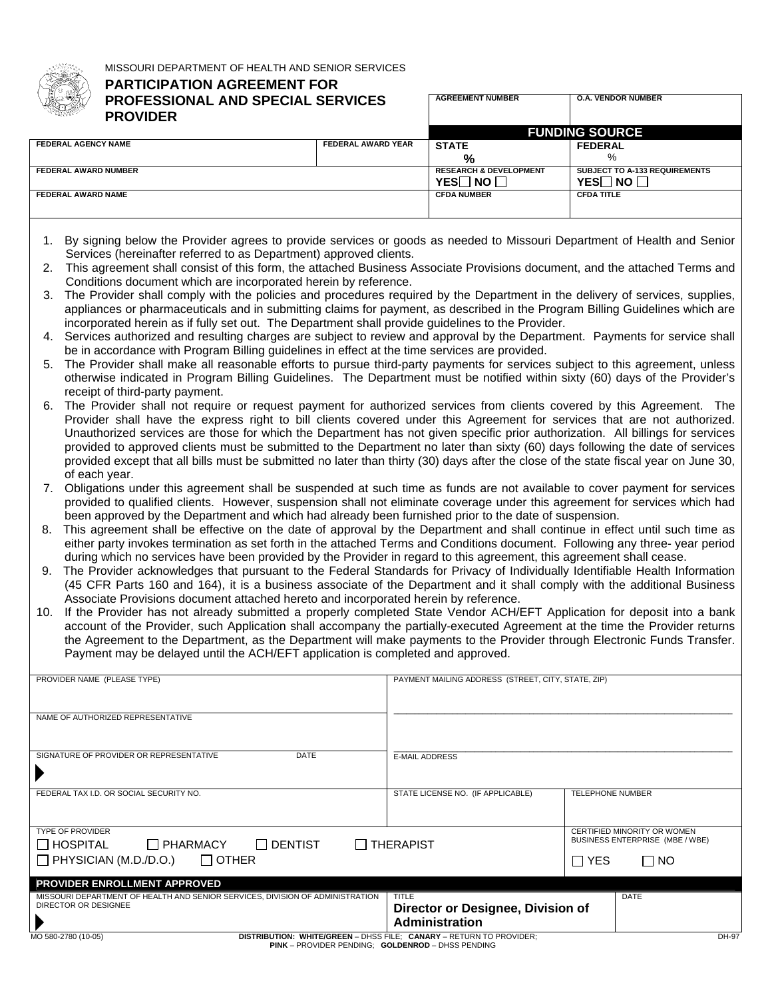<span id="page-20-0"></span>

MISSOURI DEPARTMENT OF HEALTH AND SENIOR SERVICES

## **PARTICIPATION AGREEMENT FOR PROFESSIONAL AND SPECIAL SERVICES**

| AND NOW<br><b>PROVIDER</b>  |                           |                                   |                                      |
|-----------------------------|---------------------------|-----------------------------------|--------------------------------------|
|                             |                           |                                   | <b>FUNDING SOURCE</b>                |
| <b>FEDERAL AGENCY NAME</b>  | <b>FEDERAL AWARD YEAR</b> | <b>STATE</b>                      | <b>FEDERAL</b>                       |
|                             |                           | %                                 | %                                    |
| <b>FEDERAL AWARD NUMBER</b> |                           | <b>RESEARCH &amp; DEVELOPMENT</b> | <b>SUBJECT TO A-133 REQUIREMENTS</b> |
|                             |                           | YES $\Box$ NO $\Box$              | $YES\Box$ NO $\Box$                  |
| <b>FEDERAL AWARD NAME</b>   |                           | <b>CFDA NUMBER</b>                | <b>CFDA TITLE</b>                    |
|                             |                           |                                   |                                      |

**AGREEMENT NUMBER** 

**O.A. VENDOR NUMBER** 

- 1. By signing below the Provider agrees to provide services or goods as needed to Missouri Department of Health and Senior Services (hereinafter referred to as Department) approved clients.
- 2. This agreement shall consist of this form, the attached Business Associate Provisions document, and the attached Terms and Conditions document which are incorporated herein by reference.
- 3. The Provider shall comply with the policies and procedures required by the Department in the delivery of services, supplies, appliances or pharmaceuticals and in submitting claims for payment, as described in the Program Billing Guidelines which are incorporated herein as if fully set out. The Department shall provide guidelines to the Provider.
- 4. Services authorized and resulting charges are subject to review and approval by the Department. Payments for service shall be in accordance with Program Billing guidelines in effect at the time services are provided.
- 5. The Provider shall make all reasonable efforts to pursue third-party payments for services subject to this agreement, unless otherwise indicated in Program Billing Guidelines. The Department must be notified within sixty (60) days of the Provider's receipt of third-party payment.
- 6. The Provider shall not require or request payment for authorized services from clients covered by this Agreement. The Provider shall have the express right to bill clients covered under this Agreement for services that are not authorized. Unauthorized services are those for which the Department has not given specific prior authorization. All billings for services provided to approved clients must be submitted to the Department no later than sixty (60) days following the date of services provided except that all bills must be submitted no later than thirty (30) days after the close of the state fiscal year on June 30, of each year.
- 7. Obligations under this agreement shall be suspended at such time as funds are not available to cover payment for services provided to qualified clients. However, suspension shall not eliminate coverage under this agreement for services which had been approved by the Department and which had already been furnished prior to the date of suspension.
- 8. This agreement shall be effective on the date of approval by the Department and shall continue in effect until such time as either party invokes termination as set forth in the attached Terms and Conditions document. Following any three- year period during which no services have been provided by the Provider in regard to this agreement, this agreement shall cease.
- 9. The Provider acknowledges that pursuant to the Federal Standards for Privacy of Individually Identifiable Health Information (45 CFR Parts 160 and 164), it is a business associate of the Department and it shall comply with the additional Business Associate Provisions document attached hereto and incorporated herein by reference.
- 10. If the Provider has not already submitted a properly completed State Vendor ACH/EFT Application for deposit into a bank account of the Provider, such Application shall accompany the partially-executed Agreement at the time the Provider returns the Agreement to the Department, as the Department will make payments to the Provider through Electronic Funds Transfer. Payment may be delayed until the ACH/EFT application is completed and approved.

| PROVIDER NAME (PLEASE TYPE)                                                   | PAYMENT MAILING ADDRESS (STREET, CITY, STATE, ZIP)                         |                                 |
|-------------------------------------------------------------------------------|----------------------------------------------------------------------------|---------------------------------|
|                                                                               |                                                                            |                                 |
|                                                                               |                                                                            |                                 |
| NAME OF AUTHORIZED REPRESENTATIVE                                             |                                                                            |                                 |
|                                                                               |                                                                            |                                 |
| SIGNATURE OF PROVIDER OR REPRESENTATIVE<br>DATE                               |                                                                            |                                 |
|                                                                               | <b>E-MAIL ADDRESS</b>                                                      |                                 |
|                                                                               |                                                                            |                                 |
| FEDERAL TAX I.D. OR SOCIAL SECURITY NO.                                       | STATE LICENSE NO. (IF APPLICABLE)                                          | <b>TELEPHONE NUMBER</b>         |
|                                                                               |                                                                            |                                 |
|                                                                               |                                                                            |                                 |
| <b>TYPE OF PROVIDER</b>                                                       |                                                                            | CERTIFIED MINORITY OR WOMEN     |
| □ PHARMACY<br>$\Box$ DENTIST<br><b>HOSPITAL</b>                               | $\Box$ THERAPIST                                                           | BUSINESS ENTERPRISE (MBE / WBE) |
| $\Box$ PHYSICIAN (M.D./D.O.)<br>$\Box$ OTHER                                  |                                                                            | $\sqcap$ YES<br>$\Box$ No       |
|                                                                               |                                                                            |                                 |
| <b>PROVIDER ENROLLMENT APPROVED</b>                                           |                                                                            |                                 |
| MISSOURI DEPARTMENT OF HEALTH AND SENIOR SERVICES, DIVISION OF ADMINISTRATION | <b>TITLE</b>                                                               | <b>DATE</b>                     |
| <b>DIRECTOR OR DESIGNEE</b>                                                   | Director or Designee, Division of                                          |                                 |
|                                                                               | Administration                                                             |                                 |
| MO 580-2780 (10-05)                                                           | <b>DISTRIBUTION: WHITE/GREEN - DHSS FILE: CANARY - RETURN TO PROVIDER:</b> | DH-97                           |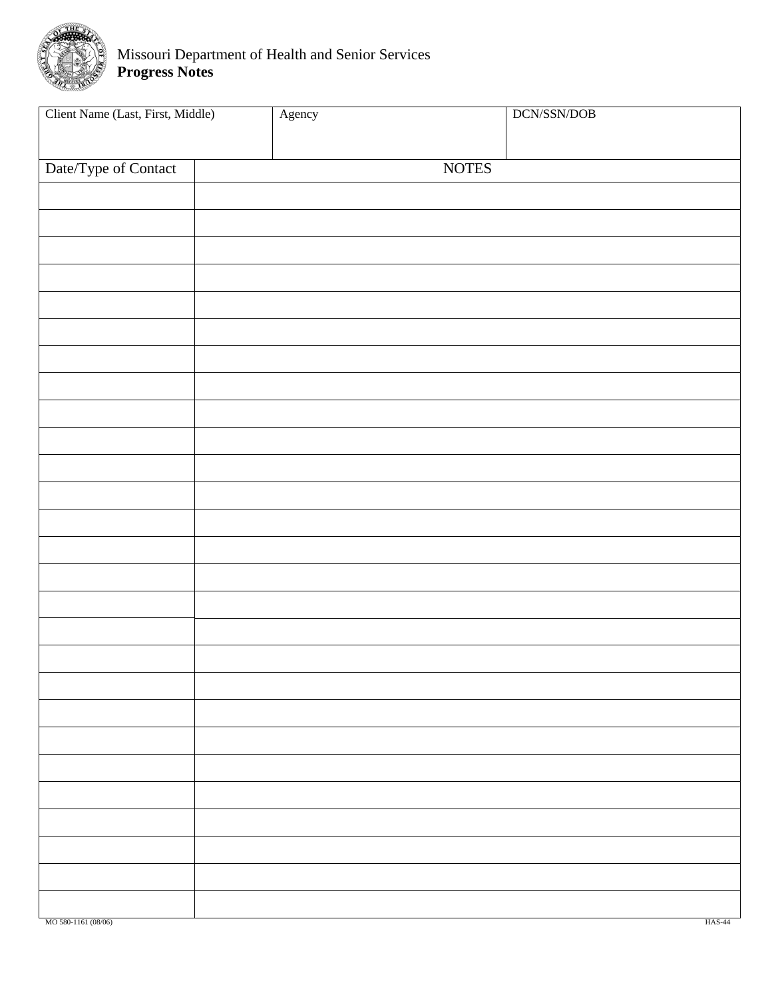<span id="page-21-0"></span>

| Client Name (Last, First, Middle) | Agency |              | $DCN/SSN/DOB$ |
|-----------------------------------|--------|--------------|---------------|
| Date/Type of Contact              |        | <b>NOTES</b> |               |
|                                   |        |              |               |
|                                   |        |              |               |
|                                   |        |              |               |
|                                   |        |              |               |
|                                   |        |              |               |
|                                   |        |              |               |
|                                   |        |              |               |
|                                   |        |              |               |
|                                   |        |              |               |
|                                   |        |              |               |
|                                   |        |              |               |
|                                   |        |              |               |
|                                   |        |              |               |
|                                   |        |              |               |
|                                   |        |              |               |
|                                   |        |              |               |
|                                   |        |              |               |
|                                   |        |              |               |
|                                   |        |              |               |
|                                   |        |              |               |
|                                   |        |              |               |
|                                   |        |              |               |
|                                   |        |              |               |
|                                   |        |              |               |
|                                   |        |              |               |
|                                   |        |              |               |
|                                   |        |              |               |
| MO 580-1161 (08/06)               |        |              | <b>HAS-44</b> |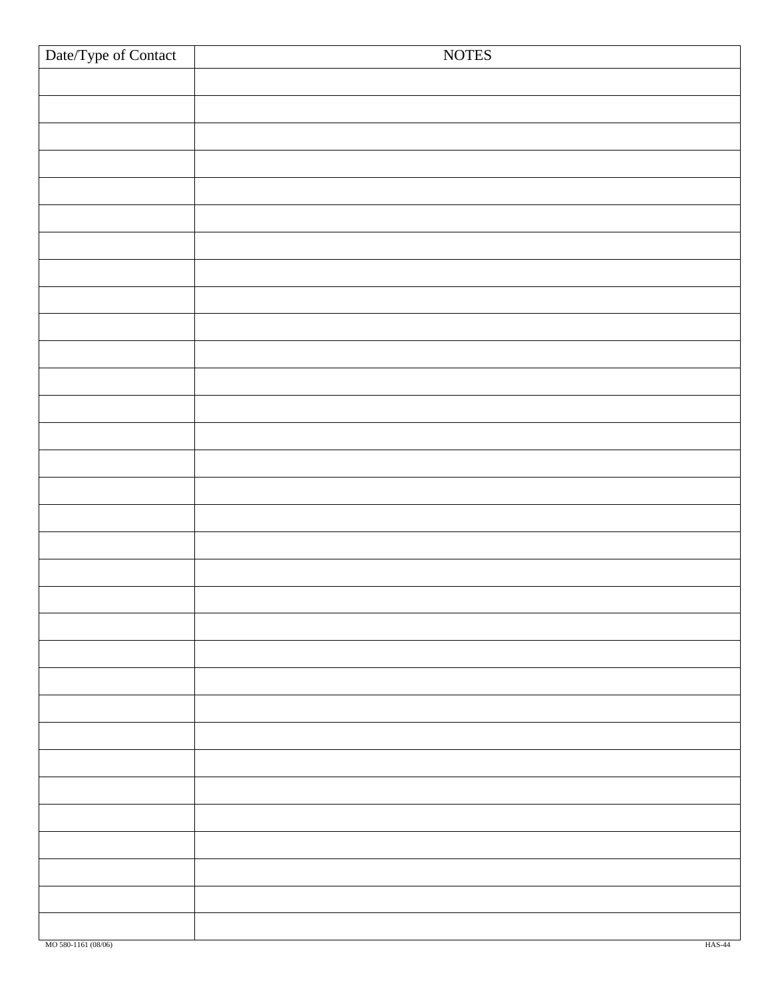| Date/Type of Contact | <b>NOTES</b>  |
|----------------------|---------------|
|                      |               |
|                      |               |
|                      |               |
|                      |               |
|                      |               |
|                      |               |
|                      |               |
|                      |               |
|                      |               |
|                      |               |
|                      |               |
|                      |               |
|                      |               |
|                      |               |
|                      |               |
|                      |               |
|                      |               |
|                      |               |
|                      |               |
|                      |               |
|                      |               |
|                      |               |
|                      |               |
|                      |               |
|                      |               |
|                      |               |
|                      |               |
|                      |               |
|                      |               |
|                      |               |
|                      |               |
|                      |               |
|                      |               |
|                      |               |
| MO 580-1161 (08/06)  | <b>HAS-44</b> |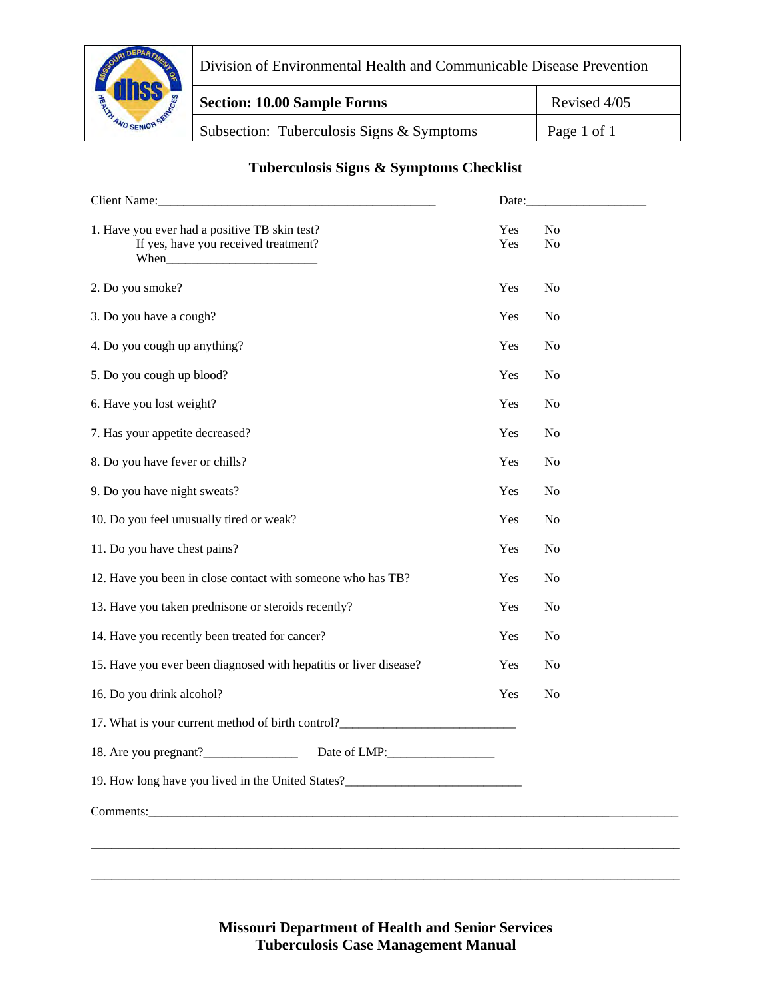<span id="page-23-0"></span>

Division of Environmental Health and Communicable Disease Prevention

**Section: 10.00 Sample Forms** Revised 4/05 Subsection: Tuberculosis Signs & Symptoms | Page 1 of 1

## **Tuberculosis Signs & Symptoms Checklist**

| Client Name: Client Name:                                                                     |            |                      |
|-----------------------------------------------------------------------------------------------|------------|----------------------|
| 1. Have you ever had a positive TB skin test?<br>If yes, have you received treatment?<br>When | Yes<br>Yes | No<br>N <sub>o</sub> |
| 2. Do you smoke?                                                                              | Yes        | No                   |
| 3. Do you have a cough?                                                                       | Yes        | No                   |
| 4. Do you cough up anything?                                                                  | Yes        | N <sub>o</sub>       |
| 5. Do you cough up blood?                                                                     | Yes        | N <sub>o</sub>       |
| 6. Have you lost weight?                                                                      | Yes        | N <sub>o</sub>       |
| 7. Has your appetite decreased?                                                               | Yes        | N <sub>o</sub>       |
| 8. Do you have fever or chills?                                                               | Yes        | N <sub>o</sub>       |
| 9. Do you have night sweats?                                                                  | Yes        | N <sub>o</sub>       |
| 10. Do you feel unusually tired or weak?                                                      | Yes        | N <sub>o</sub>       |
| 11. Do you have chest pains?                                                                  | Yes        | N <sub>o</sub>       |
| 12. Have you been in close contact with someone who has TB?                                   | Yes        | N <sub>o</sub>       |
| 13. Have you taken prednisone or steroids recently?                                           | Yes        | N <sub>o</sub>       |
| 14. Have you recently been treated for cancer?                                                | Yes        | N <sub>o</sub>       |
| 15. Have you ever been diagnosed with hepatitis or liver disease?                             | Yes        | N <sub>o</sub>       |
| 16. Do you drink alcohol?                                                                     | Yes        | N <sub>o</sub>       |
| 17. What is your current method of birth control?                                             |            |                      |
| 18. Are you pregnant?<br>Date of LMP:                                                         |            |                      |
| 19. How long have you lived in the United States?_______________________________              |            |                      |
| Comments: Comments:                                                                           |            |                      |
|                                                                                               |            |                      |
|                                                                                               |            |                      |

**Missouri Department of Health and Senior Services Tuberculosis Case Management Manual**